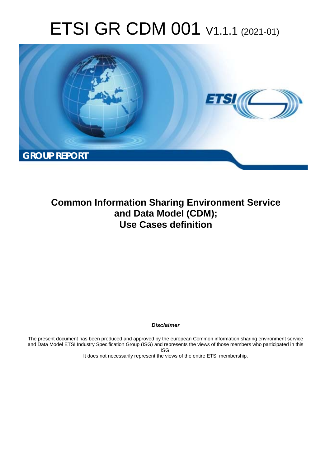# ETSI GR CDM 001 V1.1.1 (2021-01)



**Common Information Sharing Environment Service and Data Model (CDM); Use Cases definition** 

*Disclaimer* 

The present document has been produced and approved by the european Common information sharing environment service and Data Model ETSI Industry Specification Group (ISG) and represents the views of those members who participated in this ISG.

It does not necessarily represent the views of the entire ETSI membership.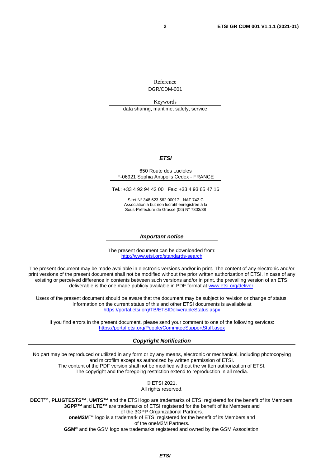Reference DGR/CDM-001

Keywords

data sharing, maritime, safety, service

#### *ETSI*

#### 650 Route des Lucioles F-06921 Sophia Antipolis Cedex - FRANCE

Tel.: +33 4 92 94 42 00 Fax: +33 4 93 65 47 16

Siret N° 348 623 562 00017 - NAF 742 C Association à but non lucratif enregistrée à la Sous-Préfecture de Grasse (06) N° 7803/88

#### *Important notice*

The present document can be downloaded from: <http://www.etsi.org/standards-search>

The present document may be made available in electronic versions and/or in print. The content of any electronic and/or print versions of the present document shall not be modified without the prior written authorization of ETSI. In case of any existing or perceived difference in contents between such versions and/or in print, the prevailing version of an ETSI deliverable is the one made publicly available in PDF format at [www.etsi.org/deliver](http://www.etsi.org/deliver).

Users of the present document should be aware that the document may be subject to revision or change of status. Information on the current status of this and other ETSI documents is available at <https://portal.etsi.org/TB/ETSIDeliverableStatus.aspx>

If you find errors in the present document, please send your comment to one of the following services: <https://portal.etsi.org/People/CommiteeSupportStaff.aspx>

#### *Copyright Notification*

No part may be reproduced or utilized in any form or by any means, electronic or mechanical, including photocopying and microfilm except as authorized by written permission of ETSI. The content of the PDF version shall not be modified without the written authorization of ETSI. The copyright and the foregoing restriction extend to reproduction in all media.

> © ETSI 2021. All rights reserved.

**DECT™**, **PLUGTESTS™**, **UMTS™** and the ETSI logo are trademarks of ETSI registered for the benefit of its Members. **3GPP™** and **LTE™** are trademarks of ETSI registered for the benefit of its Members and of the 3GPP Organizational Partners. **oneM2M™** logo is a trademark of ETSI registered for the benefit of its Members and of the oneM2M Partners. **GSM®** and the GSM logo are trademarks registered and owned by the GSM Association.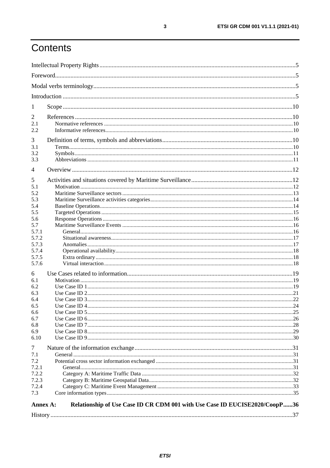# Contents

| $\mathbf{I}$    |                                                                             |  |  |
|-----------------|-----------------------------------------------------------------------------|--|--|
| 2               |                                                                             |  |  |
| 2.1             |                                                                             |  |  |
| 2.2             |                                                                             |  |  |
|                 |                                                                             |  |  |
| 3               |                                                                             |  |  |
| 3.1<br>3.2      |                                                                             |  |  |
| 3.3             |                                                                             |  |  |
|                 |                                                                             |  |  |
| $\overline{4}$  |                                                                             |  |  |
| 5               |                                                                             |  |  |
| 5.1             |                                                                             |  |  |
| 5.2             |                                                                             |  |  |
| 5.3             |                                                                             |  |  |
| 5.4             |                                                                             |  |  |
| 5.5             |                                                                             |  |  |
| 5.6             |                                                                             |  |  |
| 5.7             |                                                                             |  |  |
| 5.7.1           |                                                                             |  |  |
| 5.7.2           |                                                                             |  |  |
| 5.7.3           |                                                                             |  |  |
| 5.7.4           |                                                                             |  |  |
| 5.7.5           |                                                                             |  |  |
| 5.7.6           |                                                                             |  |  |
| 6               |                                                                             |  |  |
| 6.1             |                                                                             |  |  |
| 6.2             |                                                                             |  |  |
| 6.3             |                                                                             |  |  |
| 6.4             |                                                                             |  |  |
| 6.5             |                                                                             |  |  |
| 6.6             |                                                                             |  |  |
| 6.7             |                                                                             |  |  |
| 6.8             |                                                                             |  |  |
| 6.9             |                                                                             |  |  |
| 6.10            |                                                                             |  |  |
| $\tau$          |                                                                             |  |  |
| 7.1             |                                                                             |  |  |
| 7.2             |                                                                             |  |  |
| 7.2.1           |                                                                             |  |  |
| 7.2.2           |                                                                             |  |  |
| 7.2.3           |                                                                             |  |  |
| 7.2.4           |                                                                             |  |  |
| 7.3             |                                                                             |  |  |
| <b>Annex A:</b> | Relationship of Use Case ID CR CDM 001 with Use Case ID EUCISE2020/CoopP 36 |  |  |
|                 |                                                                             |  |  |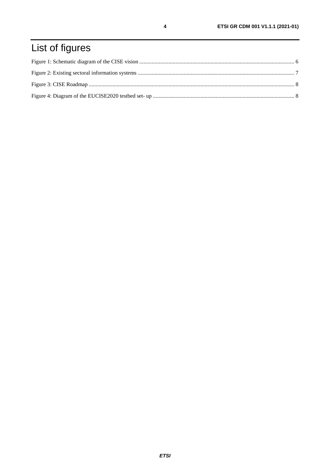# List of figures

 $\overline{\mathbf{4}}$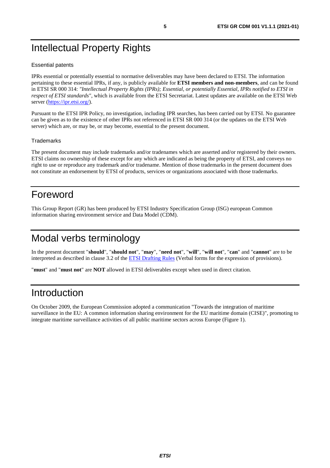# <span id="page-4-0"></span>Intellectual Property Rights

#### Essential patents

IPRs essential or potentially essential to normative deliverables may have been declared to ETSI. The information pertaining to these essential IPRs, if any, is publicly available for **ETSI members and non-members**, and can be found in ETSI SR 000 314: *"Intellectual Property Rights (IPRs); Essential, or potentially Essential, IPRs notified to ETSI in respect of ETSI standards"*, which is available from the ETSI Secretariat. Latest updates are available on the ETSI Web server ([https://ipr.etsi.org/\)](https://ipr.etsi.org/).

Pursuant to the ETSI IPR Policy, no investigation, including IPR searches, has been carried out by ETSI. No guarantee can be given as to the existence of other IPRs not referenced in ETSI SR 000 314 (or the updates on the ETSI Web server) which are, or may be, or may become, essential to the present document.

#### **Trademarks**

The present document may include trademarks and/or tradenames which are asserted and/or registered by their owners. ETSI claims no ownership of these except for any which are indicated as being the property of ETSI, and conveys no right to use or reproduce any trademark and/or tradename. Mention of those trademarks in the present document does not constitute an endorsement by ETSI of products, services or organizations associated with those trademarks.

## Foreword

This Group Report (GR) has been produced by ETSI Industry Specification Group (ISG) european Common information sharing environment service and Data Model (CDM).

# Modal verbs terminology

In the present document "**should**", "**should not**", "**may**", "**need not**", "**will**", "**will not**", "**can**" and "**cannot**" are to be interpreted as described in clause 3.2 of the **ETSI Drafting Rules** (Verbal forms for the expression of provisions).

"**must**" and "**must not**" are **NOT** allowed in ETSI deliverables except when used in direct citation.

### Introduction

On October 2009, the European Commission adopted a communication "Towards the integration of maritime surveillance in the EU: A common information sharing environment for the EU maritime domain (CISE)", promoting to integrate maritime surveillance activities of all public maritime sectors across Europe (Figure 1).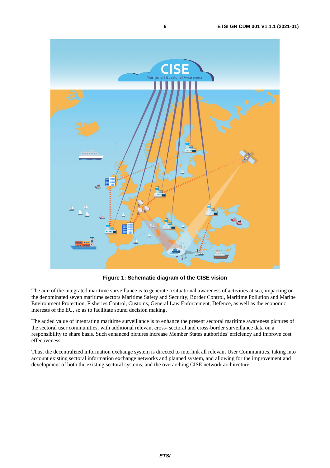<span id="page-5-0"></span>

**Figure 1: Schematic diagram of the CISE vision**

The aim of the integrated maritime surveillance is to generate a situational awareness of activities at sea, impacting on the denominated seven maritime sectors Maritime Safety and Security, Border Control, Maritime Pollution and Marine Environment Protection, Fisheries Control, Customs, General Law Enforcement, Defence, as well as the economic interests of the EU, so as to facilitate sound decision making.

The added value of integrating maritime surveillance is to enhance the present sectoral maritime awareness pictures of the sectoral user communities, with additional relevant cross- sectoral and cross-border surveillance data on a responsibility to share basis. Such enhanced pictures increase Member States authorities' efficiency and improve cost effectiveness.

Thus, the decentralized information exchange system is directed to interlink all relevant User Communities, taking into account existing sectoral information exchange networks and planned system, and allowing for the improvement and development of both the existing sectoral systems, and the overarching CISE network architecture.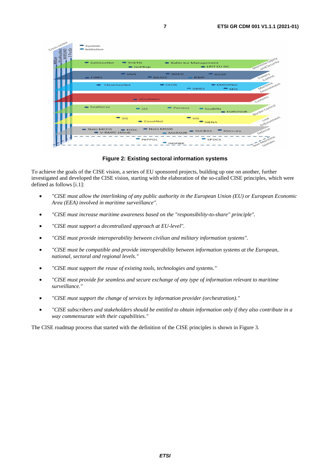<span id="page-6-0"></span>

**Figure 2: Existing sectoral information systems**

To achieve the goals of the CISE vision, a series of EU sponsored projects, building up one on another, further investigated and developed the CISE vision, starting with the elaboration of the so-called CISE principles, which were defined as follows [\[i.1\]](#page-9-0):

- *"CISE must allow the interlinking of any public authority in the European Union (EU) or European Economic Area (EEA) involved in maritime surveillance".*
- *"CISE must increase maritime awareness based on the "responsibility-to-share" principle".*
- *"CISE must support a decentralized approach at EU-level".*
- *"CISE must provide interoperability between civilian and military information systems".*
- *"CISE must be compatible and provide interoperability between information systems at the European, national, sectoral and regional levels."*
- *"CISE must support the reuse of existing tools, technologies and systems."*
- *"CISE must provide for seamless and secure exchange of any type of information relevant to maritime surveillance."*
- *"CISE must support the change of services by information provider (orchestration)."*
- *"CISE subscribers and stakeholders should be entitled to obtain information only if they also contribute in a way commensurate with their capabilities."*

The CISE roadmap process that started with the definition of the CISE principles is shown in Figure 3.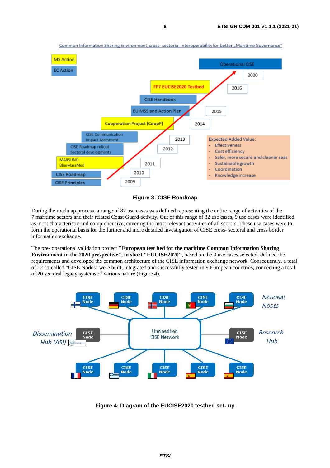<span id="page-7-0"></span>

Common Information Sharing Environment; cross- sectorial interoperability for better "Maritime Governance"



During the roadmap process, a range of 82 use cases was defined representing the entire range of activities of the 7 maritime sectors and their related Coast Guard activity. Out of this range of 82 use cases, 9 use cases were identified as most characteristic and comprehensive, covering the most relevant activities of all sectors. These use cases were to form the operational basis for the further and more detailed investigation of CISE cross- sectoral and cross border information exchange.

The pre- operational validation project **"European test bed for the maritime Common Information Sharing Environment in the 2020 perspective", in short "EUCISE2020"**, based on the 9 use cases selected, defined the requirements and developed the common architecture of the CISE information exchange network. Consequently, a total of 12 so-called "CISE Nodes" were built, integrated and successfully tested in 9 European countries, connecting a total of 20 sectoral legacy systems of various nature (Figure 4).



**Figure 4: Diagram of the EUCISE2020 testbed set- up**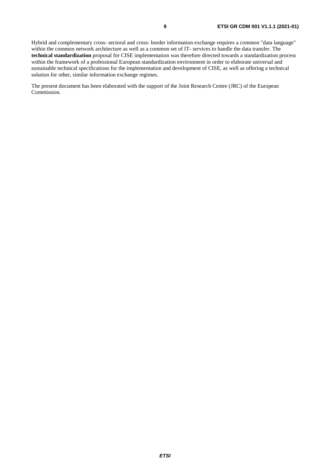Hybrid and complementary cross- sectoral and cross- border information exchange requires a common "data language" within the common network architecture as well as a common set of IT- services to handle the data transfer. The **technical standardization** proposal for CISE implementation was therefore directed towards a standardization process within the framework of a professional European standardization environment in order to elaborate universal and sustainable technical specifications for the implementation and development of CISE, as well as offering a technical solution for other, similar information exchange regimes.

The present document has been elaborated with the support of the Joint Research Centre (JRC) of the European Commission.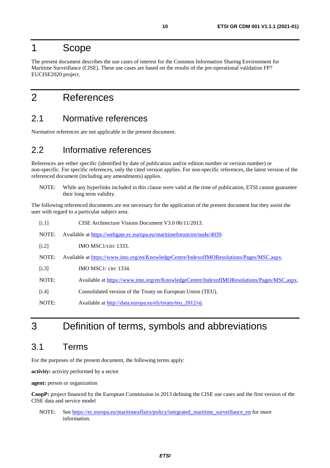### <span id="page-9-0"></span>1 Scope

The present document describes the use cases of interest for the Common Information Sharing Environment for Maritime Surveillance (CISE). These use cases are based on the results of the pre-operational validation FP7 EUCISE2020 project.

# 2 References

#### 2.1 Normative references

Normative references are not applicable in the present document.

### 2.2 Informative references

References are either specific (identified by date of publication and/or edition number or version number) or non-specific. For specific references, only the cited version applies. For non-specific references, the latest version of the referenced document (including any amendments) applies.

NOTE: While any hyperlinks included in this clause were valid at the time of publication, ETSI cannot guarantee their long term validity.

The following referenced documents are not necessary for the application of the present document but they assist the user with regard to a particular subject area.

| [i.1] | CISE Architecture Visions Document V3.0 06/11/2013.                                       |
|-------|-------------------------------------------------------------------------------------------|
| NOTE: | Available at https://webgate.ec.europa.eu/maritimeforum/en/node/4039.                     |
| [i.2] | IMO MSC1/circ 1333.                                                                       |
| NOTE: | Available at https://www.imo.org/en/KnowledgeCentre/IndexofIMOResolutions/Pages/MSC.aspx. |
| [i.3] | <b>IMO MSC1/</b> circ 1334.                                                               |
| NOTE: | Available at https://www.imo.org/en/KnowledgeCentre/IndexofIMOResolutions/Pages/MSC.aspx. |
| [i.4] | Consolidated version of the Treaty on European Union (TEU).                               |
| NOTE: | Available at http://data.europa.eu/eli/treaty/teu_2012/oj.                                |

# 3 Definition of terms, symbols and abbreviations

#### 3.1 Terms

For the purposes of the present document, the following terms apply:

**activity:** activity performed by a sector

**agent:** person or organization

**CoopP:** project financed by the European Commission in 2013 defining the CISE use cases and the first version of the CISE data and service model

NOTE: See [https://ec.europa.eu/maritimeaffairs/policy/integrated\\_maritime\\_surveillance\\_en](https://ec.europa.eu/maritimeaffairs/policy/integrated_maritime_surveillance_en) for more information.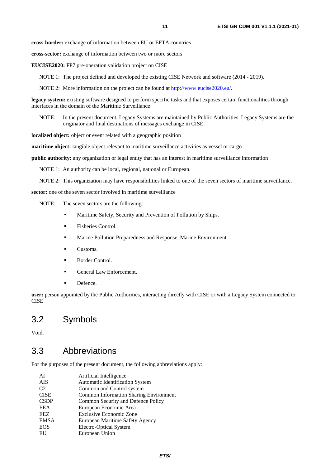<span id="page-10-0"></span>**cross-border:** exchange of information between EU or EFTA countries

**cross-sector:** exchange of information between two or more sectors

**EUCISE2020:** FP7 pre-operation validation project on CISE

NOTE 1: The project defined and developed the existing CISE Network and software (2014 - 2019).

NOTE 2: More information on the project can be found at<http://www.eucise2020.eu/>.

**legacy system:** existing software designed to perform specific tasks and that exposes certain functionalities through interfaces in the domain of the Maritime Surveillance

NOTE: In the present document, Legacy Systems are maintained by Public Authorities. Legacy Systems are the originator and final destinations of messages exchange in CISE.

**localized object:** object or event related with a geographic position

**maritime object:** tangible object relevant to maritime surveillance activities as vessel or cargo

**public authority:** any organization or legal entity that has an interest in maritime surveillance information

NOTE 1: An authority can be local, regional, national or European.

NOTE 2: This organization may have responsibilities linked to one of the seven sectors of maritime surveillance.

**sector:** one of the seven sector involved in maritime surveillance

NOTE: The seven sectors are the following:

- Maritime Safety, Security and Prevention of Pollution by Ships.<br>
Fisheries Control
- Fisheries Control.
- Marine Pollution Preparedness and Response, Marine Environment.
- Customs.
- Border Control.
- General Law Enforcement.<br>Defence.
- 

**user:** person appointed by the Public Authorities, interacting directly with CISE or with a Legacy System connected to **CISE** 

#### 3.2 Symbols

Void.

#### 3.3 Abbreviations

For the purposes of the present document, the following abbreviations apply:

| Artificial Intelligence                       |
|-----------------------------------------------|
| <b>Automatic Identification System</b>        |
| Common and Control system                     |
| <b>Common Information Sharing Environment</b> |
| Common Security and Defence Policy            |
| European Economic Area                        |
| <b>Exclusive Economic Zone</b>                |
| European Maritime Safety Agency               |
| Electro-Optical System                        |
| European Union                                |
|                                               |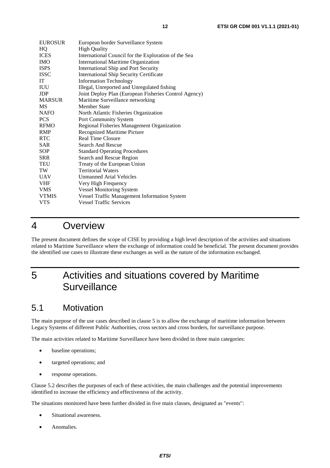<span id="page-11-0"></span>

| <b>EUROSUR</b> | European border Surveillance System                   |
|----------------|-------------------------------------------------------|
| HQ             | <b>High Quality</b>                                   |
| <b>ICES</b>    | International Council for the Exploration of the Sea  |
| <b>IMO</b>     | <b>International Maritime Organization</b>            |
| <b>ISPS</b>    | <b>International Ship and Port Security</b>           |
| <b>ISSC</b>    | <b>International Ship Security Certificate</b>        |
| IT             | <b>Information Technology</b>                         |
| <b>IUU</b>     | Illegal, Unreported and Unregulated fishing           |
| <b>JDP</b>     | Joint Deploy Plan (European Fisheries Control Agency) |
| <b>MARSUR</b>  | Maritime Surveillance networking                      |
| MS             | Member State                                          |
| <b>NAFO</b>    | North Atlantic Fisheries Organization                 |
| <b>PCS</b>     | Port Community System                                 |
| <b>RFMO</b>    | Regional Fisheries Management Organization            |
| <b>RMP</b>     | Recognized Maritime Picture                           |
| <b>RTC</b>     | <b>Real Time Closure</b>                              |
| <b>SAR</b>     | <b>Search And Rescue</b>                              |
| <b>SOP</b>     | <b>Standard Operating Procedures</b>                  |
| <b>SRR</b>     | Search and Rescue Region                              |
| TEU            | Treaty of the European Union                          |
| TW             | <b>Territorial Waters</b>                             |
| <b>UAV</b>     | Unmanned Arial Vehicles                               |
| <b>VHF</b>     | Very High Frequency                                   |
| <b>VMS</b>     | <b>Vessel Monitoring System</b>                       |
| <b>VTMIS</b>   | Vessel Traffic Management Information System          |
| <b>VTS</b>     | <b>Vessel Traffic Services</b>                        |
|                |                                                       |

### 4 Overview

The present document defines the scope of CISE by providing a high level description of the activities and situations related to Maritime Surveillance where the exchange of information could be beneficial. The present document provides the identified use cases to illustrate these exchanges as well as the nature of the information exchanged.

# 5 Activities and situations covered by Maritime **Surveillance**

### 5.1 Motivation

The main purpose of the use cases described in clause 5 is to allow the exchange of maritime information between Legacy Systems of different Public Authorities, cross sectors and cross borders, for surveillance purpose.

The main activities related to Maritime Surveillance have been divided in three main categories:

- baseline operations;
- targeted operations; and
- response operations.

Clause 5.2 describes the purposes of each of these activities, the main challenges and the potential improvements identified to increase the efficiency and effectiveness of the activity.

The situations monitored have been further divided in five main classes, designated as "events":

- Situational awareness.
- Anomalies.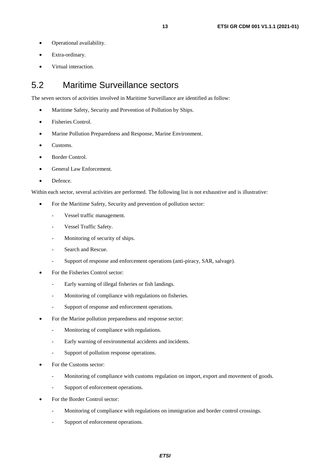- <span id="page-12-0"></span>• Operational availability.
- Extra-ordinary.
- Virtual interaction.

### 5.2 Maritime Surveillance sectors

The seven sectors of activities involved in Maritime Surveillance are identified as follow:

- Maritime Safety, Security and Prevention of Pollution by Ships.
- Fisheries Control.
- Marine Pollution Preparedness and Response, Marine Environment.
- Customs.
- Border Control.
- General Law Enforcement.
- Defence.

Within each sector, several activities are performed. The following list is not exhaustive and is illustrative:

- For the Maritime Safety, Security and prevention of pollution sector:
	- Vessel traffic management.
	- Vessel Traffic Safety.
	- Monitoring of security of ships.
	- Search and Rescue.
	- Support of response and enforcement operations (anti-piracy, SAR, salvage).
- For the Fisheries Control sector:
	- Early warning of illegal fisheries or fish landings.
	- Monitoring of compliance with regulations on fisheries.
	- Support of response and enforcement operations.
- For the Marine pollution preparedness and response sector:
	- Monitoring of compliance with regulations.
	- Early warning of environmental accidents and incidents.
	- Support of pollution response operations.
- For the Customs sector:
	- Monitoring of compliance with customs regulation on import, export and movement of goods.
	- Support of enforcement operations.
- For the Border Control sector:
	- Monitoring of compliance with regulations on immigration and border control crossings.
	- Support of enforcement operations.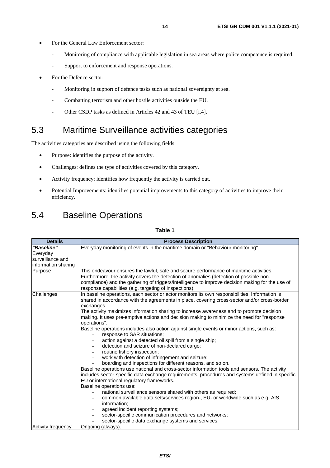- <span id="page-13-0"></span>For the General Law Enforcement sector:
	- Monitoring of compliance with applicable legislation in sea areas where police competence is required.
	- Support to enforcement and response operations.
- For the Defence sector:
	- Monitoring in support of defence tasks such as national sovereignty at sea.
	- Combatting terrorism and other hostile activities outside the EU.
	- Other CSDP tasks as defined in Articles 42 and 43 of TEU [\[i.4\]](#page-9-0).

### 5.3 Maritime Surveillance activities categories

The activities categories are described using the following fields:

- Purpose: identifies the purpose of the activity.
- Challenges: defines the type of activities covered by this category.
- Activity frequency: identifies how frequently the activity is carried out.
- Potential Improvements: identifies potential improvements to this category of activities to improve their efficiency.

### 5.4 Baseline Operations

| <b>Details</b>                                                    | <b>Process Description</b>                                                                                                                                                                                                                                                                                                                                                                                                                                                                                                                                                                                                                                                                                                                                                                                                                                                                                                                                                                                                                                                                                                                                                                                                                                                                                                                                                                                             |
|-------------------------------------------------------------------|------------------------------------------------------------------------------------------------------------------------------------------------------------------------------------------------------------------------------------------------------------------------------------------------------------------------------------------------------------------------------------------------------------------------------------------------------------------------------------------------------------------------------------------------------------------------------------------------------------------------------------------------------------------------------------------------------------------------------------------------------------------------------------------------------------------------------------------------------------------------------------------------------------------------------------------------------------------------------------------------------------------------------------------------------------------------------------------------------------------------------------------------------------------------------------------------------------------------------------------------------------------------------------------------------------------------------------------------------------------------------------------------------------------------|
| "Baseline"<br>Everyday<br>surveillance and<br>information sharing | Everyday monitoring of events in the maritime domain or "Behaviour monitoring".                                                                                                                                                                                                                                                                                                                                                                                                                                                                                                                                                                                                                                                                                                                                                                                                                                                                                                                                                                                                                                                                                                                                                                                                                                                                                                                                        |
| Purpose                                                           | This endeavour ensures the lawful, safe and secure performance of maritime activities.<br>Furthermore, the activity covers the detection of anomalies (detection of possible non-<br>compliance) and the gathering of triggers/intelligence to improve decision making for the use of<br>response capabilities (e.g. targeting of inspections).                                                                                                                                                                                                                                                                                                                                                                                                                                                                                                                                                                                                                                                                                                                                                                                                                                                                                                                                                                                                                                                                        |
| Challenges                                                        | In baseline operations, each sector or actor monitors its own responsibilities. Information is<br>shared in accordance with the agreements in place, covering cross-sector and/or cross-border<br>exchanges.<br>The activity maximizes information sharing to increase awareness and to promote decision<br>making. It uses pre-emptive actions and decision making to minimize the need for "response<br>operations".<br>Baseline operations includes also action against single events or minor actions, such as:<br>response to SAR situations;<br>action against a detected oil spill from a single ship;<br>detection and seizure of non-declared cargo;<br>routine fishery inspection;<br>work with detection of infringement and seizure;<br>boarding and inspections for different reasons, and so on.<br>Baseline operations use national and cross-sector information tools and sensors. The activity<br>includes sector-specific data exchange requirements, procedures and systems defined in specific<br>EU or international regulatory frameworks.<br>Baseline operations use:<br>national surveillance sensors shared with others as required;<br>common available data sets/services region-, EU- or worldwide such as e.g. AIS<br>information;<br>agreed incident reporting systems;<br>sector-specific communication procedures and networks;<br>sector-specific data exchange systems and services. |
| Activity frequency                                                | Ongoing (always).                                                                                                                                                                                                                                                                                                                                                                                                                                                                                                                                                                                                                                                                                                                                                                                                                                                                                                                                                                                                                                                                                                                                                                                                                                                                                                                                                                                                      |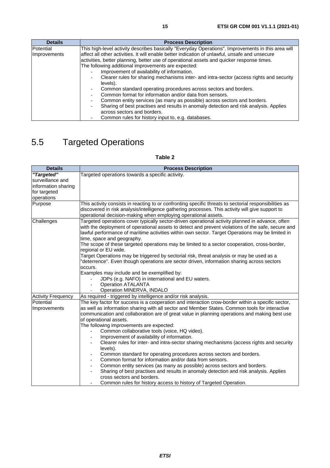<span id="page-14-0"></span>

| <b>Details</b> | <b>Process Description</b>                                                                           |
|----------------|------------------------------------------------------------------------------------------------------|
| Potential      | This high-level activity describes basically "Everyday Operations". Improvements in this area will   |
| Improvements   | affect all other activities. It will enable better indication of unlawful, unsafe and unsecure       |
|                | activities, better planning, better use of operational assets and quicker response times.            |
|                | The following additional improvements are expected:                                                  |
|                | Improvement of availability of information.                                                          |
|                | Clearer rules for sharing mechanisms inter- and intra-sector (access rights and security<br>levels). |
|                | Common standard operating procedures across sectors and borders.                                     |
|                | Common format for information and/or data from sensors.                                              |
|                | Common entity services (as many as possible) across sectors and borders.                             |
|                | Sharing of best practises and results in anomaly detection and risk analysis. Applies                |
|                | across sectors and borders.                                                                          |
|                | Common rules for history input to, e.g. databases.                                                   |

# 5.5 Targeted Operations

| <b>Details</b>            | <b>Process Description</b>                                                                                                                                                                                                                                                                                                               |
|---------------------------|------------------------------------------------------------------------------------------------------------------------------------------------------------------------------------------------------------------------------------------------------------------------------------------------------------------------------------------|
| "Targeted"                | Targeted operations towards a specific activity.                                                                                                                                                                                                                                                                                         |
| surveillance and          |                                                                                                                                                                                                                                                                                                                                          |
| information sharing       |                                                                                                                                                                                                                                                                                                                                          |
| for targeted              |                                                                                                                                                                                                                                                                                                                                          |
| operations                |                                                                                                                                                                                                                                                                                                                                          |
| Purpose                   | This activity consists in reacting to or confronting specific threats to sectorial responsibilities as<br>discovered in risk analysis/intelligence gathering processes. This activity will give support to<br>operational decision-making when employing operational assets.                                                             |
| Challenges                | Targeted operations cover typically sector-driven operational activity planned in advance, often<br>with the deployment of operational assets to detect and prevent violations of the safe, secure and<br>lawful performance of maritime activities within own sector. Target Operations may be limited in<br>time, space and geography. |
|                           | The scope of these targeted operations may be limited to a sector cooperation, cross-border,<br>regional or EU wide.                                                                                                                                                                                                                     |
|                           | Target Operations may be triggered by sectorial risk, threat analysis or may be used as a<br>deterrence". Even though operations are sector driven, information sharing across sectors"<br>occurs.                                                                                                                                       |
|                           | Examples may include and be exemplified by:                                                                                                                                                                                                                                                                                              |
|                           | JDPs (e.g. NAFO) in international and EU waters.                                                                                                                                                                                                                                                                                         |
|                           | <b>Operation ATALANTA</b>                                                                                                                                                                                                                                                                                                                |
|                           | Operation MINERVA, INDALO                                                                                                                                                                                                                                                                                                                |
| <b>Activity Frequency</b> | As required - triggered by intelligence and/or risk analysis.                                                                                                                                                                                                                                                                            |
| Potential                 | The key factor for success is a cooperation and interaction crow-border within a specific sector,                                                                                                                                                                                                                                        |
| Improvements              | as well as information sharing with all sector and Member States. Common tools for interactive<br>communication and collaboration are of great value in planning operations and making best use<br>of operational assets.                                                                                                                |
|                           | The following improvements are expected:                                                                                                                                                                                                                                                                                                 |
|                           | Common collaborative tools (voice, HQ video).                                                                                                                                                                                                                                                                                            |
|                           | Improvement of availability of information.                                                                                                                                                                                                                                                                                              |
|                           | Clearer rules for inter- and intra-sector sharing mechanisms (access rights and security<br>levels).                                                                                                                                                                                                                                     |
|                           | Common standard for operating procedures across sectors and borders.                                                                                                                                                                                                                                                                     |
|                           | Common format for information and/or data from sensors.                                                                                                                                                                                                                                                                                  |
|                           | Common entity services (as many as possible) across sectors and borders.                                                                                                                                                                                                                                                                 |
|                           | Sharing of best practises and results in anomaly detection and risk analysis. Applies<br>cross sectors and borders.                                                                                                                                                                                                                      |
|                           | Common rules for history access to history of Targeted Operation.                                                                                                                                                                                                                                                                        |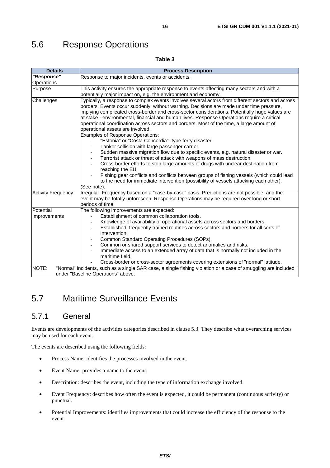## <span id="page-15-0"></span>5.6 Response Operations

#### **Table 3**

| <b>Details</b>            | <b>Process Description</b>                                                                                                                                                                                                                                                                                                                                                                                                                                                                                                                                                                                                                                                                                                                                                                                                                                                                                                                                                                                                                                                                                                                                        |
|---------------------------|-------------------------------------------------------------------------------------------------------------------------------------------------------------------------------------------------------------------------------------------------------------------------------------------------------------------------------------------------------------------------------------------------------------------------------------------------------------------------------------------------------------------------------------------------------------------------------------------------------------------------------------------------------------------------------------------------------------------------------------------------------------------------------------------------------------------------------------------------------------------------------------------------------------------------------------------------------------------------------------------------------------------------------------------------------------------------------------------------------------------------------------------------------------------|
| "Response"                | Response to major incidents, events or accidents.                                                                                                                                                                                                                                                                                                                                                                                                                                                                                                                                                                                                                                                                                                                                                                                                                                                                                                                                                                                                                                                                                                                 |
| Operations                |                                                                                                                                                                                                                                                                                                                                                                                                                                                                                                                                                                                                                                                                                                                                                                                                                                                                                                                                                                                                                                                                                                                                                                   |
| Purpose                   | This activity ensures the appropriate response to events affecting many sectors and with a                                                                                                                                                                                                                                                                                                                                                                                                                                                                                                                                                                                                                                                                                                                                                                                                                                                                                                                                                                                                                                                                        |
|                           | potentially major impact on, e.g. the environment and economy.                                                                                                                                                                                                                                                                                                                                                                                                                                                                                                                                                                                                                                                                                                                                                                                                                                                                                                                                                                                                                                                                                                    |
| Challenges                | Typically, a response to complex events involves several actors from different sectors and across<br>borders. Events occur suddenly, without warning. Decisions are made under time pressure,<br>implying complicated cross-border and cross-sector considerations. Potentially huge values are<br>at stake - environmental, financial and human lives. Response Operations require a critical<br>operational coordination across sectors and borders. Most of the time, a large amount of<br>operational assets are involved.<br><b>Examples of Response Operations:</b><br>"Estonia" or "Costa Concordia" -type ferry disaster.<br>Tanker collision with large passenger carrier.<br>Sudden massive migration flow due to specific events, e.g. natural disaster or war.<br>Terrorist attack or threat of attack with weapons of mass destruction.<br>Cross-border efforts to stop large amounts of drugs with unclear destination from<br>reaching the EU.<br>Fishing gear conflicts and conflicts between groups of fishing vessels (which could lead<br>to the need for immediate intervention (possibility of vessels attacking each other).<br>(See note). |
| <b>Activity Frequency</b> | Irregular. Frequency based on a "case-by-case" basis. Predictions are not possible, and the<br>event may be totally unforeseen. Response Operations may be required over long or short<br>periods of time.                                                                                                                                                                                                                                                                                                                                                                                                                                                                                                                                                                                                                                                                                                                                                                                                                                                                                                                                                        |
| Potential                 | The following improvements are expected:                                                                                                                                                                                                                                                                                                                                                                                                                                                                                                                                                                                                                                                                                                                                                                                                                                                                                                                                                                                                                                                                                                                          |
| Improvements              | Establishment of common collaboration tools.                                                                                                                                                                                                                                                                                                                                                                                                                                                                                                                                                                                                                                                                                                                                                                                                                                                                                                                                                                                                                                                                                                                      |
|                           | Knowledge of availability of operational assets across sectors and borders.                                                                                                                                                                                                                                                                                                                                                                                                                                                                                                                                                                                                                                                                                                                                                                                                                                                                                                                                                                                                                                                                                       |
|                           | Established, frequently trained routines across sectors and borders for all sorts of<br>intervention.                                                                                                                                                                                                                                                                                                                                                                                                                                                                                                                                                                                                                                                                                                                                                                                                                                                                                                                                                                                                                                                             |
|                           | Common Standard Operating Procedures (SOPs).                                                                                                                                                                                                                                                                                                                                                                                                                                                                                                                                                                                                                                                                                                                                                                                                                                                                                                                                                                                                                                                                                                                      |
|                           | Common or shared support services to detect anomalies and risks.                                                                                                                                                                                                                                                                                                                                                                                                                                                                                                                                                                                                                                                                                                                                                                                                                                                                                                                                                                                                                                                                                                  |
|                           | Immediate access to an extended array of data that is normally not included in the                                                                                                                                                                                                                                                                                                                                                                                                                                                                                                                                                                                                                                                                                                                                                                                                                                                                                                                                                                                                                                                                                |
|                           | maritime field.                                                                                                                                                                                                                                                                                                                                                                                                                                                                                                                                                                                                                                                                                                                                                                                                                                                                                                                                                                                                                                                                                                                                                   |
|                           | Cross-border or cross-sector agreements covering extensions of "normal" latitude.                                                                                                                                                                                                                                                                                                                                                                                                                                                                                                                                                                                                                                                                                                                                                                                                                                                                                                                                                                                                                                                                                 |
| NOTE:                     | "Normal" incidents, such as a single SAR case, a single fishing violation or a case of smuggling are included                                                                                                                                                                                                                                                                                                                                                                                                                                                                                                                                                                                                                                                                                                                                                                                                                                                                                                                                                                                                                                                     |
|                           | under "Baseline Operations" above.                                                                                                                                                                                                                                                                                                                                                                                                                                                                                                                                                                                                                                                                                                                                                                                                                                                                                                                                                                                                                                                                                                                                |

### 5.7 Maritime Surveillance Events

#### 5.7.1 General

Events are developments of the activities categories described in clause 5.3. They describe what overarching services may be used for each event.

The events are described using the following fields:

- Process Name: identifies the processes involved in the event.
- Event Name: provides a name to the event.
- Description: describes the event, including the type of information exchange involved.
- Event Frequency: describes how often the event is expected, it could be permanent (continuous activity) or punctual.
- Potential Improvements: identifies improvements that could increase the efficiency of the response to the event.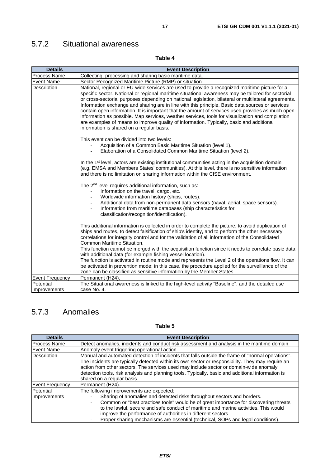## <span id="page-16-0"></span>5.7.2 Situational awareness

#### **Table 4**

| <b>Details</b>            | <b>Event Description</b>                                                                                                                                                                                                                                                                                                                                                                                                                                                                                                                                                                                                                                                                                                                                          |
|---------------------------|-------------------------------------------------------------------------------------------------------------------------------------------------------------------------------------------------------------------------------------------------------------------------------------------------------------------------------------------------------------------------------------------------------------------------------------------------------------------------------------------------------------------------------------------------------------------------------------------------------------------------------------------------------------------------------------------------------------------------------------------------------------------|
| <b>Process Name</b>       | Collecting, processing and sharing basic maritime data.                                                                                                                                                                                                                                                                                                                                                                                                                                                                                                                                                                                                                                                                                                           |
| <b>Event Name</b>         | Sector Recognized Maritime Picture (RMP) or situation.                                                                                                                                                                                                                                                                                                                                                                                                                                                                                                                                                                                                                                                                                                            |
| Description               | National, regional or EU-wide services are used to provide a recognized maritime picture for a<br>specific sector. National or regional maritime situational awareness may be tailored for sectorial<br>or cross-sectorial purposes depending on national legislation, bilateral or multilateral agreements.<br>Information exchange and sharing are in line with this principle. Basic data sources or services<br>contain open information. It is important that the amount of services used provides as much open<br>information as possible. Map services, weather services, tools for visualization and compilation<br>are examples of means to improve quality of information. Typically, basic and additional<br>information is shared on a regular basis. |
|                           | This event can be divided into two levels:<br>Acquisition of a Common Basic Maritime Situation (level 1).<br>Elaboration of a Consolidated Common Maritime Situation (level 2).                                                                                                                                                                                                                                                                                                                                                                                                                                                                                                                                                                                   |
|                           | In the 1 <sup>st</sup> level, actors are existing institutional communities acting in the acquisition domain<br>(e.g. EMSA and Members States' communities). At this level, there is no sensitive information<br>and there is no limitation on sharing information within the CISE environment.                                                                                                                                                                                                                                                                                                                                                                                                                                                                   |
|                           | The 2 <sup>nd</sup> level requires additional information, such as:<br>Information on the travel, cargo, etc.<br>Worldwide information history (ships, routes).<br>Additional data from non-permanent data sensors (naval, aerial, space sensors).<br>Information from maritime databases (ship characteristics for<br>classification/recognition/identification).                                                                                                                                                                                                                                                                                                                                                                                                |
|                           | This additional information is collected in order to complete the picture, to avoid duplication of<br>ships and routes, to detect falsification of ship's identity, and to perform the other necessary<br>correlations for integrity control and for the validation of all information of the Consolidated<br>Common Maritime Situation.                                                                                                                                                                                                                                                                                                                                                                                                                          |
|                           | This function cannot be merged with the acquisition function since it needs to correlate basic data<br>with additional data (for example fishing vessel location).                                                                                                                                                                                                                                                                                                                                                                                                                                                                                                                                                                                                |
|                           | The function is activated in routine mode and represents the Level 2 of the operations flow. It can<br>be activated in prevention mode; in this case, the procedure applied for the surveillance of the<br>zone can be classified as sensitive information by the Member States.                                                                                                                                                                                                                                                                                                                                                                                                                                                                                  |
| <b>Event Frequency</b>    | Permanent (H24).                                                                                                                                                                                                                                                                                                                                                                                                                                                                                                                                                                                                                                                                                                                                                  |
| Potential<br>Improvements | The Situational awareness is linked to the high-level activity "Baseline", and the detailed use<br>case No. 4.                                                                                                                                                                                                                                                                                                                                                                                                                                                                                                                                                                                                                                                    |

### 5.7.3 Anomalies

| <b>Details</b>      | <b>Event Description</b>                                                                          |
|---------------------|---------------------------------------------------------------------------------------------------|
|                     |                                                                                                   |
| <b>Process Name</b> | Detect anomalies, incidents and conduct risk assessment and analysis in the maritime domain.      |
| <b>Event Name</b>   | Anomaly event triggering operational action.                                                      |
| Description         | Manual and automated detection of incidents that falls outside the frame of "normal operations".  |
|                     | The incidents are typically detected within its own sector or responsibility. They may require an |
|                     | action from other sectors. The services used may include sector or domain-wide anomaly            |
|                     | detection tools, risk analysis and planning tools. Typically, basic and additional information is |
|                     | shared on a regular basis.                                                                        |
| Event Frequency     | Permanent (H24).                                                                                  |
| Potential           | The following improvements are expected:                                                          |
| Improvements        | Sharing of anomalies and detected risks throughout sectors and borders.                           |
|                     | Common or "best practices tools" would be of great importance for discovering threats             |
|                     | to the lawful, secure and safe conduct of maritime and marine activities. This would              |
|                     | improve the performance of authorities in different sectors.                                      |
|                     | Proper sharing mechanisms are essential (technical, SOPs and legal conditions).                   |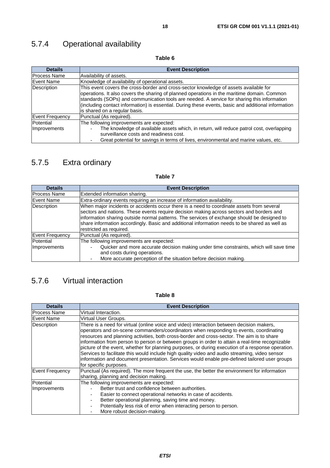## <span id="page-17-0"></span>5.7.4 Operational availability

**Table 6** 

| <b>Details</b>            | <b>Event Description</b>                                                                                                                                                                                                                                                                                                                                                                                                    |
|---------------------------|-----------------------------------------------------------------------------------------------------------------------------------------------------------------------------------------------------------------------------------------------------------------------------------------------------------------------------------------------------------------------------------------------------------------------------|
| <b>Process Name</b>       | Availability of assets.                                                                                                                                                                                                                                                                                                                                                                                                     |
| <b>Event Name</b>         | Knowledge of availability of operational assets.                                                                                                                                                                                                                                                                                                                                                                            |
| Description               | This event covers the cross-border and cross-sector knowledge of assets available for<br>operations. It also covers the sharing of planned operations in the maritime domain. Common<br>standards (SOPs) and communication tools are needed. A service for sharing this information<br>(including contact information) is essential. During these events, basic and additional information<br>is shared on a regular basis. |
| <b>Event Frequency</b>    | Punctual (As required).                                                                                                                                                                                                                                                                                                                                                                                                     |
| Potential<br>Improvements | The following improvements are expected:<br>The knowledge of available assets which, in return, will reduce patrol cost, overlapping<br>surveillance costs and readiness cost.                                                                                                                                                                                                                                              |
|                           | Great potential for savings in terms of lives, environmental and marine values, etc.                                                                                                                                                                                                                                                                                                                                        |

### 5.7.5 Extra ordinary

| <b>Details</b>      | <b>Event Description</b>                                                                                                                                                                                                                                                                                                                                                                                         |
|---------------------|------------------------------------------------------------------------------------------------------------------------------------------------------------------------------------------------------------------------------------------------------------------------------------------------------------------------------------------------------------------------------------------------------------------|
| <b>Process Name</b> | Extended information sharing.                                                                                                                                                                                                                                                                                                                                                                                    |
| <b>Event Name</b>   | Extra-ordinary events requiring an increase of information availability.                                                                                                                                                                                                                                                                                                                                         |
| Description         | When major incidents or accidents occur there is a need to coordinate assets from several<br>sectors and nations. These events require decision making across sectors and borders and<br>information sharing outside normal patterns. The services of exchange should be designed to<br>share information accordingly. Basic and additional information needs to be shared as well as<br>restricted as required. |
| Event Frequency     | Punctual (As required).                                                                                                                                                                                                                                                                                                                                                                                          |
| Potential           | The following improvements are expected:                                                                                                                                                                                                                                                                                                                                                                         |
| Improvements        | Quicker and more accurate decision making under time constraints, which will save time<br>and costs during operations.<br>More accurate perception of the situation before decision making.                                                                                                                                                                                                                      |

**Table 7** 

### 5.7.6 Virtual interaction

| <b>Details</b>         | <b>Event Description</b>                                                                                                                                                                                                                                                                                                                                                                                                                                                                                                                                                                                                                                                                                               |  |  |  |
|------------------------|------------------------------------------------------------------------------------------------------------------------------------------------------------------------------------------------------------------------------------------------------------------------------------------------------------------------------------------------------------------------------------------------------------------------------------------------------------------------------------------------------------------------------------------------------------------------------------------------------------------------------------------------------------------------------------------------------------------------|--|--|--|
| <b>Process Name</b>    | Virtual Interaction.                                                                                                                                                                                                                                                                                                                                                                                                                                                                                                                                                                                                                                                                                                   |  |  |  |
| <b>Event Name</b>      | Virtual User Groups.                                                                                                                                                                                                                                                                                                                                                                                                                                                                                                                                                                                                                                                                                                   |  |  |  |
| Description            | There is a need for virtual (online voice and video) interaction between decision makers,<br>operators and on-scene commanders/coordinators when responding to events, coordinating<br>resources and planning activities, both cross-border and cross-sector. The aim is to share<br>information from person to person or between groups in order to attain a real-time recognizable<br>picture of the event, whether for planning purposes, or during execution of a response operation.<br>Services to facilitate this would include high quality video and audio streaming, video sensor<br>information and document presentation. Services would enable pre-defined tailored user groups<br>for specific purposes. |  |  |  |
| <b>Event Frequency</b> | Punctual (As required). The more frequent the use, the better the environment for information<br>sharing, planning and decision making.                                                                                                                                                                                                                                                                                                                                                                                                                                                                                                                                                                                |  |  |  |
| Potential              | The following improvements are expected:                                                                                                                                                                                                                                                                                                                                                                                                                                                                                                                                                                                                                                                                               |  |  |  |
| Improvements           | Better trust and confidence between authorities.                                                                                                                                                                                                                                                                                                                                                                                                                                                                                                                                                                                                                                                                       |  |  |  |
|                        | Easier to connect operational networks in case of accidents.                                                                                                                                                                                                                                                                                                                                                                                                                                                                                                                                                                                                                                                           |  |  |  |
|                        | Better operational planning, saving time and money.                                                                                                                                                                                                                                                                                                                                                                                                                                                                                                                                                                                                                                                                    |  |  |  |
|                        | Potentially less risk of error when interacting person to person.                                                                                                                                                                                                                                                                                                                                                                                                                                                                                                                                                                                                                                                      |  |  |  |
|                        | More robust decision-making.                                                                                                                                                                                                                                                                                                                                                                                                                                                                                                                                                                                                                                                                                           |  |  |  |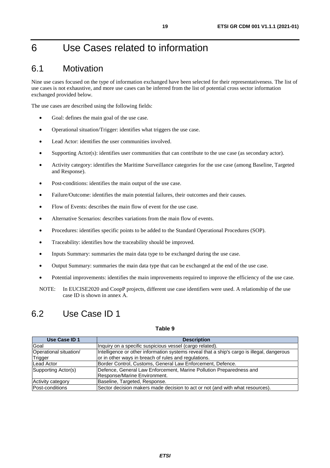# <span id="page-18-0"></span>6 Use Cases related to information

### 6.1 Motivation

Nine use cases focused on the type of information exchanged have been selected for their representativeness. The list of use cases is not exhaustive, and more use cases can be inferred from the list of potential cross sector information exchanged provided below.

The use cases are described using the following fields:

- Goal: defines the main goal of the use case.
- Operational situation/Trigger: identifies what triggers the use case.
- Lead Actor: identifies the user communities involved.
- Supporting Actor(s): identifies user communities that can contribute to the use case (as secondary actor).
- Activity category: identifies the Maritime Surveillance categories for the use case (among Baseline, Targeted and Response).
- Post-conditions: identifies the main output of the use case.
- Failure/Outcome: identifies the main potential failures, their outcomes and their causes.
- Flow of Events: describes the main flow of event for the use case.
- Alternative Scenarios: describes variations from the main flow of events.
- Procedures: identifies specific points to be added to the Standard Operational Procedures (SOP).
- Traceability: identifies how the traceability should be improved.
- Inputs Summary: summaries the main data type to be exchanged during the use case.
- Output Summary: summaries the main data type that can be exchanged at the end of the use case.
- Potential improvements: identifies the main improvements required to improve the efficiency of the use case.
- NOTE: In EUCISE2020 and CoopP projects, different use case identifiers were used. A relationship of the use case ID is shown in annex A.

### 6.2 Use Case ID 1

| Use Case ID 1          | <b>Description</b>                                                                         |
|------------------------|--------------------------------------------------------------------------------------------|
| Goal                   | Inquiry on a specific suspicious vessel (cargo related).                                   |
| Operational situation/ | Intelligence or other information systems reveal that a ship's cargo is illegal, dangerous |
| Trigger                | or in other ways in breach of rules and regulations.                                       |
| Lead Actor             | Border Control, Customs, General Law Enforcement, Defence.                                 |
| Supporting Actor(s)    | Defence, General Law Enforcement, Marine Pollution Preparedness and                        |
|                        | Response/Marine Environment.                                                               |
| Activity category      | Baseline, Targeted, Response.                                                              |
| Post-conditions        | Sector decision makers made decision to act or not (and with what resources).              |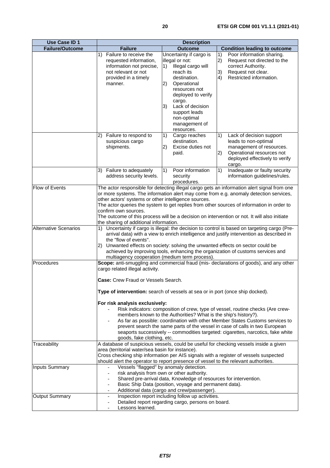| <b>Use Case ID 1</b>         | <b>Description</b>                                                                                                                                                                                                                                                                       |                                                                                                                 |                                                                                                                                                               |  |
|------------------------------|------------------------------------------------------------------------------------------------------------------------------------------------------------------------------------------------------------------------------------------------------------------------------------------|-----------------------------------------------------------------------------------------------------------------|---------------------------------------------------------------------------------------------------------------------------------------------------------------|--|
| <b>Failure/Outcome</b>       | <b>Failure</b>                                                                                                                                                                                                                                                                           | <b>Outcome</b>                                                                                                  | <b>Condition leading to outcome</b>                                                                                                                           |  |
|                              | Failure to receive the<br>1)                                                                                                                                                                                                                                                             | Uncertainty if cargo is                                                                                         | 1)<br>Poor information sharing.                                                                                                                               |  |
|                              | requested information,                                                                                                                                                                                                                                                                   | illegal or not:                                                                                                 | 2)<br>Request not directed to the                                                                                                                             |  |
|                              | information not precise,                                                                                                                                                                                                                                                                 | Illegal cargo will<br>1)                                                                                        | correct Authority.                                                                                                                                            |  |
|                              | not relevant or not                                                                                                                                                                                                                                                                      | reach its                                                                                                       | 3)<br>Request not clear.                                                                                                                                      |  |
|                              | provided in a timely                                                                                                                                                                                                                                                                     | destination.                                                                                                    | Restricted information.<br>4)                                                                                                                                 |  |
|                              | manner.                                                                                                                                                                                                                                                                                  | Operational<br>$ 2\rangle$                                                                                      |                                                                                                                                                               |  |
|                              |                                                                                                                                                                                                                                                                                          | resources not                                                                                                   |                                                                                                                                                               |  |
|                              |                                                                                                                                                                                                                                                                                          | deployed to verify                                                                                              |                                                                                                                                                               |  |
|                              |                                                                                                                                                                                                                                                                                          | cargo.<br>3)<br>Lack of decision                                                                                |                                                                                                                                                               |  |
|                              |                                                                                                                                                                                                                                                                                          | support leads                                                                                                   |                                                                                                                                                               |  |
|                              |                                                                                                                                                                                                                                                                                          | non-optimal                                                                                                     |                                                                                                                                                               |  |
|                              |                                                                                                                                                                                                                                                                                          | management of                                                                                                   |                                                                                                                                                               |  |
|                              |                                                                                                                                                                                                                                                                                          | resources.                                                                                                      |                                                                                                                                                               |  |
|                              | Failure to respond to<br>2)                                                                                                                                                                                                                                                              | 1)<br>Cargo reaches                                                                                             | 1)<br>Lack of decision support                                                                                                                                |  |
|                              | suspicious cargo                                                                                                                                                                                                                                                                         | destination.                                                                                                    | leads to non-optimal                                                                                                                                          |  |
|                              | shipments.                                                                                                                                                                                                                                                                               | (2)<br>Excise duties not                                                                                        | management of resources.                                                                                                                                      |  |
|                              |                                                                                                                                                                                                                                                                                          | paid.                                                                                                           | Operational resources not<br>2)                                                                                                                               |  |
|                              |                                                                                                                                                                                                                                                                                          |                                                                                                                 | deployed effectively to verify                                                                                                                                |  |
|                              |                                                                                                                                                                                                                                                                                          |                                                                                                                 | cargo.                                                                                                                                                        |  |
|                              | Failure to adequately<br>3)                                                                                                                                                                                                                                                              | 1)<br>Poor information                                                                                          | Inadequate or faulty security<br>1)                                                                                                                           |  |
|                              | address security levels.                                                                                                                                                                                                                                                                 | security<br>procedures.                                                                                         | information guidelines/rules.                                                                                                                                 |  |
| Flow of Events               |                                                                                                                                                                                                                                                                                          |                                                                                                                 | The actor responsible for detecting illegal cargo gets an information alert signal from one                                                                   |  |
|                              |                                                                                                                                                                                                                                                                                          |                                                                                                                 | or more systems. The information alert may come from e.g. anomaly detection services,                                                                         |  |
|                              | other actors' systems or other intelligence sources.                                                                                                                                                                                                                                     |                                                                                                                 |                                                                                                                                                               |  |
|                              |                                                                                                                                                                                                                                                                                          |                                                                                                                 | The actor queries the system to get replies from other sources of information in order to                                                                     |  |
|                              | confirm own sources.                                                                                                                                                                                                                                                                     |                                                                                                                 |                                                                                                                                                               |  |
|                              |                                                                                                                                                                                                                                                                                          |                                                                                                                 | The outcome of this process will be a decision on intervention or not. It will also initiate                                                                  |  |
|                              | the sharing of additional information.                                                                                                                                                                                                                                                   |                                                                                                                 |                                                                                                                                                               |  |
| <b>Alternative Scenarios</b> |                                                                                                                                                                                                                                                                                          |                                                                                                                 | 1) Uncertainty if cargo is illegal: the decision to control is based on targeting cargo (Pre-                                                                 |  |
|                              | arrival data) with a view to enrich intelligence and justify intervention as described in<br>the "flow of events".<br>2) Unwanted effects on society: solving the unwanted effects on sector could be<br>achieved by improving tools, enhancing the organization of customs services and |                                                                                                                 |                                                                                                                                                               |  |
|                              |                                                                                                                                                                                                                                                                                          |                                                                                                                 |                                                                                                                                                               |  |
|                              |                                                                                                                                                                                                                                                                                          |                                                                                                                 |                                                                                                                                                               |  |
|                              | multiagency cooperation (medium term process).                                                                                                                                                                                                                                           |                                                                                                                 |                                                                                                                                                               |  |
| Procedures                   |                                                                                                                                                                                                                                                                                          |                                                                                                                 | Scope: anti-smuggling and commercial fraud (mis- declarations of goods), and any other                                                                        |  |
|                              | cargo related illegal activity.                                                                                                                                                                                                                                                          |                                                                                                                 |                                                                                                                                                               |  |
|                              |                                                                                                                                                                                                                                                                                          |                                                                                                                 |                                                                                                                                                               |  |
|                              | Case: Crew Fraud or Vessels Search.                                                                                                                                                                                                                                                      |                                                                                                                 |                                                                                                                                                               |  |
|                              | Type of intervention: search of vessels at sea or in port (once ship docked).                                                                                                                                                                                                            |                                                                                                                 |                                                                                                                                                               |  |
|                              |                                                                                                                                                                                                                                                                                          |                                                                                                                 |                                                                                                                                                               |  |
|                              | For risk analysis exclusively:                                                                                                                                                                                                                                                           |                                                                                                                 |                                                                                                                                                               |  |
|                              |                                                                                                                                                                                                                                                                                          |                                                                                                                 | Risk indicators: composition of crew, type of vessel, routine checks (Are crew-                                                                               |  |
|                              |                                                                                                                                                                                                                                                                                          | members known to the Authorities? What is the ship's history?).                                                 |                                                                                                                                                               |  |
|                              |                                                                                                                                                                                                                                                                                          |                                                                                                                 | As far as possible: coordination with other Member States Customs services to<br>prevent search the same parts of the vessel in case of calls in two European |  |
|                              |                                                                                                                                                                                                                                                                                          |                                                                                                                 | seaports successively -- commodities targeted: cigarettes, narcotics, fake white                                                                              |  |
|                              | goods, fake clothing, etc.                                                                                                                                                                                                                                                               |                                                                                                                 |                                                                                                                                                               |  |
| Traceability                 |                                                                                                                                                                                                                                                                                          |                                                                                                                 | A database of suspicious vessels, could be useful for checking vessels inside a given                                                                         |  |
|                              | area (territorial water/sea basin for instance).                                                                                                                                                                                                                                         |                                                                                                                 |                                                                                                                                                               |  |
|                              |                                                                                                                                                                                                                                                                                          |                                                                                                                 | Cross checking ship information per AIS signals with a register of vessels suspected                                                                          |  |
|                              | should alert the operator to report presence of vessel to the relevant authorities.                                                                                                                                                                                                      |                                                                                                                 |                                                                                                                                                               |  |
| <b>Inputs Summary</b>        |                                                                                                                                                                                                                                                                                          | Vessels "flagged" by anomaly detection.                                                                         |                                                                                                                                                               |  |
|                              | $\overline{\phantom{a}}$                                                                                                                                                                                                                                                                 | risk analysis from own or other authority.<br>Shared pre-arrival data, Knowledge of resources for intervention. |                                                                                                                                                               |  |
|                              |                                                                                                                                                                                                                                                                                          | Basic Ship Data (position, voyage and permanent data).                                                          |                                                                                                                                                               |  |
|                              | $\overline{\phantom{a}}$                                                                                                                                                                                                                                                                 | Additional data (cargo and crew/passenger).                                                                     |                                                                                                                                                               |  |
| <b>Output Summary</b>        | $\overline{\phantom{a}}$                                                                                                                                                                                                                                                                 | Inspection report including follow up activities.                                                               |                                                                                                                                                               |  |
|                              |                                                                                                                                                                                                                                                                                          | Detailed report regarding cargo, persons on board.                                                              |                                                                                                                                                               |  |
|                              | Lessons learned.                                                                                                                                                                                                                                                                         |                                                                                                                 |                                                                                                                                                               |  |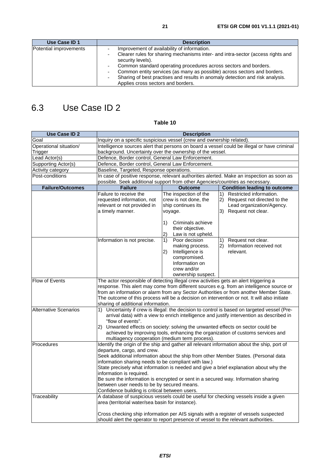## <span id="page-20-0"></span>6.3 Use Case ID 2

| <b>Use Case ID 2</b>         | <b>Description</b>                                                                                                                                                                                                                                                                                            |                                                 |                                                                                           |  |
|------------------------------|---------------------------------------------------------------------------------------------------------------------------------------------------------------------------------------------------------------------------------------------------------------------------------------------------------------|-------------------------------------------------|-------------------------------------------------------------------------------------------|--|
| Goal                         | Inquiry on a specific suspicious vessel (crew and ownership related).                                                                                                                                                                                                                                         |                                                 |                                                                                           |  |
| Operational situation/       | Intelligence sources alert that persons on board a vessel could be illegal or have criminal                                                                                                                                                                                                                   |                                                 |                                                                                           |  |
| Trigger                      | background. Uncertainty over the ownership of the vessel.                                                                                                                                                                                                                                                     |                                                 |                                                                                           |  |
| Lead Actor(s)                | Defence, Border control, General Law Enforcement.                                                                                                                                                                                                                                                             |                                                 |                                                                                           |  |
| Supporting Actor(s)          | Defence, Border control, General Law Enforcement.                                                                                                                                                                                                                                                             |                                                 |                                                                                           |  |
| Activity category            | Baseline, Targeted, Response operations.                                                                                                                                                                                                                                                                      |                                                 |                                                                                           |  |
| Post-conditions              | In case of positive response, relevant authorities alerted. Make an inspection as soon as                                                                                                                                                                                                                     |                                                 |                                                                                           |  |
|                              | possible. Seek additional support from other Agencies/countries as necessary.                                                                                                                                                                                                                                 |                                                 |                                                                                           |  |
| <b>Failure/Outcomes</b>      | <b>Failure</b>                                                                                                                                                                                                                                                                                                | <b>Outcome</b>                                  | <b>Condition leading to outcome</b>                                                       |  |
|                              | Failure to receive the                                                                                                                                                                                                                                                                                        | The inspection of the                           | 1)<br>Restricted information.                                                             |  |
|                              | requested information, not                                                                                                                                                                                                                                                                                    | crew is not done, the                           | Request not directed to the<br>2)                                                         |  |
|                              | relevant or not provided in                                                                                                                                                                                                                                                                                   | ship continues its                              | Lead organization/Agency.                                                                 |  |
|                              | a timely manner.                                                                                                                                                                                                                                                                                              | voyage.                                         | 3) Request not clear.                                                                     |  |
|                              |                                                                                                                                                                                                                                                                                                               |                                                 |                                                                                           |  |
|                              |                                                                                                                                                                                                                                                                                                               | 1)<br>Criminals achieve                         |                                                                                           |  |
|                              |                                                                                                                                                                                                                                                                                                               | their objective.                                |                                                                                           |  |
|                              |                                                                                                                                                                                                                                                                                                               | 2)<br>Law is not upheld.<br>Poor decision<br>1) | Request not clear.                                                                        |  |
|                              | Information is not precise.                                                                                                                                                                                                                                                                                   |                                                 | 1)<br>Information received not                                                            |  |
|                              |                                                                                                                                                                                                                                                                                                               | making process.<br>2)<br>Intelligence is        | 2)<br>relevant.                                                                           |  |
|                              |                                                                                                                                                                                                                                                                                                               |                                                 |                                                                                           |  |
|                              | compromised.<br>Information on                                                                                                                                                                                                                                                                                |                                                 |                                                                                           |  |
|                              |                                                                                                                                                                                                                                                                                                               |                                                 |                                                                                           |  |
|                              |                                                                                                                                                                                                                                                                                                               | crew and/or<br>ownership suspect.               |                                                                                           |  |
| <b>Flow of Events</b>        | The actor responsible of detecting illegal crew activities gets an alert triggering a                                                                                                                                                                                                                         |                                                 |                                                                                           |  |
|                              | response. This alert may come from different sources e.g. from an intelligence source or<br>from an information or alarm from any Sector Authorities or from another Member State.<br>The outcome of this process will be a decision on intervention or not. It will also initiate                            |                                                 |                                                                                           |  |
|                              |                                                                                                                                                                                                                                                                                                               |                                                 |                                                                                           |  |
|                              |                                                                                                                                                                                                                                                                                                               |                                                 |                                                                                           |  |
|                              | sharing of additional information.                                                                                                                                                                                                                                                                            |                                                 |                                                                                           |  |
| <b>Alternative Scenarios</b> | 1)                                                                                                                                                                                                                                                                                                            |                                                 | Uncertainty if crew is illegal: the decision to control is based on targeted vessel (Pre- |  |
|                              | arrival data) with a view to enrich intelligence and justify intervention as described in                                                                                                                                                                                                                     |                                                 |                                                                                           |  |
| "flow of events".            |                                                                                                                                                                                                                                                                                                               |                                                 |                                                                                           |  |
|                              | Unwanted effects on society: solving the unwanted effects on sector could be<br>2).<br>achieved by improving tools, enhancing the organization of customs services and                                                                                                                                        |                                                 |                                                                                           |  |
|                              |                                                                                                                                                                                                                                                                                                               |                                                 |                                                                                           |  |
|                              | multiagency cooperation (medium term process).<br>Identify the origin of the ship and gather all relevant information about the ship, port of                                                                                                                                                                 |                                                 |                                                                                           |  |
| Procedures                   |                                                                                                                                                                                                                                                                                                               |                                                 |                                                                                           |  |
|                              | departure, cargo, and crew.<br>Seek additional information about the ship from other Member States. (Personal data                                                                                                                                                                                            |                                                 |                                                                                           |  |
|                              |                                                                                                                                                                                                                                                                                                               |                                                 |                                                                                           |  |
|                              | information sharing needs to be compliant with law.)<br>State precisely what information is needed and give a brief explanation about why the<br>information is required.<br>Be sure the information is encrypted or sent in a secured way. Information sharing<br>between user needs to be by secured means. |                                                 |                                                                                           |  |
|                              |                                                                                                                                                                                                                                                                                                               |                                                 |                                                                                           |  |
|                              |                                                                                                                                                                                                                                                                                                               |                                                 |                                                                                           |  |
|                              |                                                                                                                                                                                                                                                                                                               |                                                 |                                                                                           |  |
|                              | Confidence building is critical between users.                                                                                                                                                                                                                                                                |                                                 |                                                                                           |  |
| Traceability                 |                                                                                                                                                                                                                                                                                                               |                                                 | A database of suspicious vessels could be useful for checking vessels inside a given      |  |
|                              | area (territorial water/sea basin for instance).                                                                                                                                                                                                                                                              |                                                 |                                                                                           |  |
|                              |                                                                                                                                                                                                                                                                                                               |                                                 |                                                                                           |  |
|                              |                                                                                                                                                                                                                                                                                                               |                                                 | Cross checking ship information per AIS signals with a register of vessels suspected      |  |
|                              | should alert the operator to report presence of vessel to the relevant authorities.                                                                                                                                                                                                                           |                                                 |                                                                                           |  |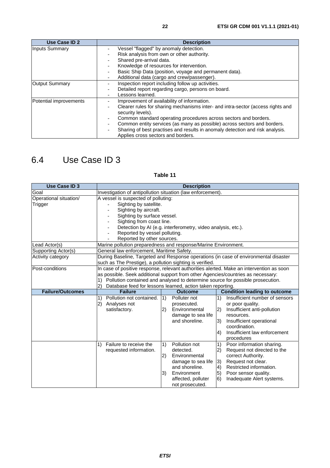<span id="page-21-0"></span>

| Use Case ID 2          | <b>Description</b>                                                                                   |  |  |
|------------------------|------------------------------------------------------------------------------------------------------|--|--|
| <b>Inputs Summary</b>  | Vessel "flagged" by anomaly detection.                                                               |  |  |
|                        | Risk analysis from own or other authority.                                                           |  |  |
|                        | Shared pre-arrival data.                                                                             |  |  |
|                        | Knowledge of resources for intervention.                                                             |  |  |
|                        | Basic Ship Data (position, voyage and permanent data).                                               |  |  |
|                        | Additional data (cargo and crew/passenger).                                                          |  |  |
| <b>Output Summary</b>  | Inspection report including follow up activities.                                                    |  |  |
|                        | Detailed report regarding cargo, persons on board.                                                   |  |  |
|                        | Lessons learned.                                                                                     |  |  |
| Potential improvements | Improvement of availability of information.                                                          |  |  |
|                        | Clearer rules for sharing mechanisms inter- and intra-sector (access rights and<br>security levels). |  |  |
|                        | Common standard operating procedures across sectors and borders.                                     |  |  |
|                        | Common entity services (as many as possible) across sectors and borders.                             |  |  |
|                        | Sharing of best practises and results in anomaly detection and risk analysis.                        |  |  |
|                        | Applies cross sectors and borders.                                                                   |  |  |

# 6.4 Use Case ID 3

| <b>Use Case ID 3</b>    | <b>Description</b>                                                               |                                                              |                                                                                          |  |
|-------------------------|----------------------------------------------------------------------------------|--------------------------------------------------------------|------------------------------------------------------------------------------------------|--|
| Goal                    | Investigation of antipollution situation (law enforcement).                      |                                                              |                                                                                          |  |
| Operational situation/  | A vessel is suspected of polluting:                                              |                                                              |                                                                                          |  |
| Trigger                 | Sighting by satellite.                                                           |                                                              |                                                                                          |  |
|                         | Sighting by aircraft.                                                            |                                                              |                                                                                          |  |
|                         | Sighting by surface vessel.                                                      |                                                              |                                                                                          |  |
|                         | Sighting from coast line.                                                        |                                                              |                                                                                          |  |
|                         |                                                                                  | Detection by AI (e.g. interferometry, video analysis, etc.). |                                                                                          |  |
|                         | Reported by vessel polluting.                                                    |                                                              |                                                                                          |  |
|                         | Reported by other sources.                                                       |                                                              |                                                                                          |  |
| Lead Actor(s)           | Marine pollution preparedness and response/Marine Environment.                   |                                                              |                                                                                          |  |
| Supporting Actor(s)     | General law enforcement, Maritime Safety.                                        |                                                              |                                                                                          |  |
| Activity category       |                                                                                  |                                                              | During Baseline, Targeted and Response operations (in case of environmental disaster     |  |
|                         | such as The Prestige), a pollution sighting is verified.                         |                                                              |                                                                                          |  |
| Post-conditions         |                                                                                  |                                                              | In case of positive response, relevant authorities alerted. Make an intervention as soon |  |
|                         | as possible. Seek additional support from other Agencies/countries as necessary: |                                                              |                                                                                          |  |
|                         | Pollution contained and analysed to determine source for possible prosecution.   |                                                              |                                                                                          |  |
|                         | 2)                                                                               | Database feed for lessons learned, action taken reporting.   |                                                                                          |  |
| <b>Failure/Outcomes</b> | <b>Failure</b>                                                                   | <b>Outcome</b>                                               | <b>Condition leading to outcome</b>                                                      |  |
|                         | Pollution not contained.<br>1)                                                   | 1)<br>Polluter not                                           | Insufficient number of sensors<br>1)                                                     |  |
|                         | 2)<br>Analyses not                                                               | prosecuted.                                                  | or poor quality.                                                                         |  |
|                         | satisfactory.                                                                    | Environmental<br>2)                                          | 2)<br>Insufficient anti-pollution<br>resources.                                          |  |
|                         |                                                                                  | damage to sea life<br>and shoreline.                         |                                                                                          |  |
|                         |                                                                                  |                                                              | Insufficient operational<br>3)<br>coordination.                                          |  |
|                         |                                                                                  |                                                              | Insufficient law enforcement<br>4)                                                       |  |
|                         |                                                                                  |                                                              | procedures                                                                               |  |
|                         | Failure to receive the<br>1)                                                     | Pollution not<br>1)                                          | Poor information sharing.<br>1)                                                          |  |
|                         | requested information.                                                           | detected.                                                    | Request not directed to the<br>2)                                                        |  |
|                         |                                                                                  | 2)<br>Environmental                                          | correct Authority.                                                                       |  |
|                         |                                                                                  | damage to sea life                                           | 3)<br>Request not clear.                                                                 |  |
|                         |                                                                                  | and shoreline.                                               | Restricted information.<br>$\vert 4)$                                                    |  |
|                         |                                                                                  | 3)<br>Environment                                            | Poor sensor quality.<br>5)                                                               |  |
|                         |                                                                                  | affected, polluter                                           | 6)<br>Inadequate Alert systems.                                                          |  |
|                         |                                                                                  | not prosecuted.                                              |                                                                                          |  |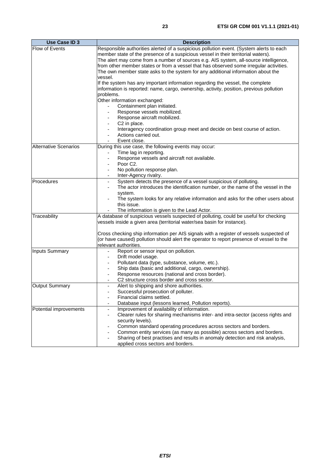| <b>Use Case ID 3</b>         | <b>Description</b>                                                                                                                                                                                                                                                                                                                                                                                                                                             |  |  |  |
|------------------------------|----------------------------------------------------------------------------------------------------------------------------------------------------------------------------------------------------------------------------------------------------------------------------------------------------------------------------------------------------------------------------------------------------------------------------------------------------------------|--|--|--|
| Flow of Events               | Responsible authorities alerted of a suspicious pollution event. (System alerts to each<br>member state of the presence of a suspicious vessel in their territorial waters).<br>The alert may come from a number of sources e.g. AIS system, all-source intelligence,<br>from other member states or from a vessel that has observed some irregular activities.<br>The own member state asks to the system for any additional information about the<br>vessel. |  |  |  |
|                              | If the system has any important information regarding the vessel, the complete<br>information is reported: name, cargo, ownership, activity, position, previous pollution<br>problems.                                                                                                                                                                                                                                                                         |  |  |  |
|                              | Other information exchanged:<br>Containment plan initiated.<br>$\overline{\phantom{0}}$<br>Response vessels mobilized.<br>Response aircraft mobilized.                                                                                                                                                                                                                                                                                                         |  |  |  |
|                              | C2 in place.<br>$\overline{a}$<br>Interagency coordination group meet and decide on best course of action.<br>$\overline{\phantom{0}}$<br>Actions carried out.<br>Event close.                                                                                                                                                                                                                                                                                 |  |  |  |
| <b>Alternative Scenarios</b> | During this use case, the following events may occur:<br>Time lag in reporting.<br>Response vessels and aircraft not available.<br>Poor C <sub>2</sub> .<br>$\overline{a}$<br>No pollution response plan.<br>$\overline{\phantom{0}}$                                                                                                                                                                                                                          |  |  |  |
| Procedures                   | Inter-Agency rivalry.<br>System detects the presence of a vessel suspicious of polluting.<br>The actor introduces the identification number, or the name of the vessel in the<br>system.<br>The system looks for any relative information and asks for the other users about<br>this issue.<br>The information is given to the Lead Actor.                                                                                                                     |  |  |  |
| Traceability                 | A database of suspicious vessels suspected of polluting, could be useful for checking<br>vessels inside a given area (territorial water/sea basin for instance).                                                                                                                                                                                                                                                                                               |  |  |  |
|                              | Cross checking ship information per AIS signals with a register of vessels suspected of<br>(or have caused) pollution should alert the operator to report presence of vessel to the<br>relevant authorities.                                                                                                                                                                                                                                                   |  |  |  |
| <b>Inputs Summary</b>        | Report or sensor input on pollution.<br>Drift model usage.<br>$\overline{\phantom{0}}$<br>Pollutant data (type, substance, volume, etc.).<br>Ship data (basic and additional, cargo, ownership).<br>Response resources (national and cross border).<br>C2 structure cross border and cross sector.                                                                                                                                                             |  |  |  |
| <b>Output Summary</b>        | Alert to shipping and shore authorities.<br>$\overline{a}$<br>Successful prosecution of polluter.<br>Financial claims settled.<br>Database input (lessons learned, Pollution reports).                                                                                                                                                                                                                                                                         |  |  |  |
| Potential improvements       | Improvement of availability of information.<br>$\overline{a}$<br>Clearer rules for sharing mechanisms inter- and intra-sector (access rights and<br>security levels).<br>Common standard operating procedures across sectors and borders.<br>Common entity services (as many as possible) across sectors and borders.<br>Sharing of best practises and results in anomaly detection and risk analysis,<br>applied cross sectors and borders.                   |  |  |  |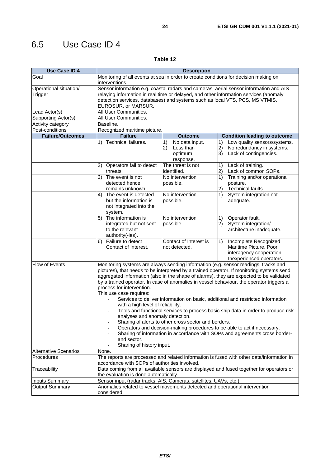# <span id="page-23-0"></span>6.5 Use Case ID 4

| <b>Use Case ID 4</b>              | <b>Description</b>                                                                                                                                                                                                                                                                                                                                                                                                                                                                                                                                                                                                                                                                                                                                                                                                                                                                                                                                         |                                                                 |                                                                                                                                   |  |  |
|-----------------------------------|------------------------------------------------------------------------------------------------------------------------------------------------------------------------------------------------------------------------------------------------------------------------------------------------------------------------------------------------------------------------------------------------------------------------------------------------------------------------------------------------------------------------------------------------------------------------------------------------------------------------------------------------------------------------------------------------------------------------------------------------------------------------------------------------------------------------------------------------------------------------------------------------------------------------------------------------------------|-----------------------------------------------------------------|-----------------------------------------------------------------------------------------------------------------------------------|--|--|
| Goal                              | Monitoring of all events at sea in order to create conditions for decision making on<br>interventions.                                                                                                                                                                                                                                                                                                                                                                                                                                                                                                                                                                                                                                                                                                                                                                                                                                                     |                                                                 |                                                                                                                                   |  |  |
| Operational situation/<br>Trigger | Sensor information e.g. coastal radars and cameras, aerial sensor information and AIS<br>relaying information in real time or delayed, and other information services (anomaly<br>detection services, databases) and systems such as local VTS, PCS, MS VTMIS,<br>EUROSUR, or MARSUR.                                                                                                                                                                                                                                                                                                                                                                                                                                                                                                                                                                                                                                                                      |                                                                 |                                                                                                                                   |  |  |
| Lead Actor(s)                     |                                                                                                                                                                                                                                                                                                                                                                                                                                                                                                                                                                                                                                                                                                                                                                                                                                                                                                                                                            | All User Communities.                                           |                                                                                                                                   |  |  |
| Supporting Actor(s)               | All User Communities.                                                                                                                                                                                                                                                                                                                                                                                                                                                                                                                                                                                                                                                                                                                                                                                                                                                                                                                                      |                                                                 |                                                                                                                                   |  |  |
| Activity category                 | Baseline.                                                                                                                                                                                                                                                                                                                                                                                                                                                                                                                                                                                                                                                                                                                                                                                                                                                                                                                                                  |                                                                 |                                                                                                                                   |  |  |
| Post-conditions                   | Recognized maritime picture.                                                                                                                                                                                                                                                                                                                                                                                                                                                                                                                                                                                                                                                                                                                                                                                                                                                                                                                               |                                                                 |                                                                                                                                   |  |  |
| <b>Failure/Outcomes</b>           | <b>Failure</b><br><b>Outcome</b><br><b>Condition leading to outcome</b>                                                                                                                                                                                                                                                                                                                                                                                                                                                                                                                                                                                                                                                                                                                                                                                                                                                                                    |                                                                 |                                                                                                                                   |  |  |
|                                   | 1) Technical failures.                                                                                                                                                                                                                                                                                                                                                                                                                                                                                                                                                                                                                                                                                                                                                                                                                                                                                                                                     | No data input.<br>1)<br>2)<br>Less than<br>optimum<br>response. | Low quality sensors/systems.<br>1)<br>No redundancy in systems.<br>2)<br>3)<br>Lack of contingencies.                             |  |  |
|                                   | Operators fail to detect<br>2)<br>threats.                                                                                                                                                                                                                                                                                                                                                                                                                                                                                                                                                                                                                                                                                                                                                                                                                                                                                                                 | The threat is not<br>identified.                                | 1)<br>Lack of training.<br>Lack of common SOPs.<br>2)                                                                             |  |  |
|                                   | 3) The event is not<br>detected hence<br>remains unknown.<br>The event is detected<br>4)<br>but the information is<br>not integrated into the<br>system.                                                                                                                                                                                                                                                                                                                                                                                                                                                                                                                                                                                                                                                                                                                                                                                                   | No intervention<br>possible.<br>No intervention<br>possible.    | $\overline{1}$<br>Training and/or operational<br>posture.<br>Technical faults.<br>2)<br>System integration not<br>1)<br>adequate. |  |  |
|                                   | The information is<br>No intervention<br>5)<br>integrated but not sent<br>possible.<br>to the relevant<br>authority(-ies).                                                                                                                                                                                                                                                                                                                                                                                                                                                                                                                                                                                                                                                                                                                                                                                                                                 |                                                                 | Operator fault.<br>1)<br>System integration/<br>2)<br>architecture inadequate.                                                    |  |  |
|                                   | Failure to detect<br>6)<br>Contact of Interest.                                                                                                                                                                                                                                                                                                                                                                                                                                                                                                                                                                                                                                                                                                                                                                                                                                                                                                            | Contact of Interest is<br>not detected.                         | 1)<br>Incomplete Recognized<br>Maritime Picture, Poor<br>interagency cooperation.<br>Inexperienced operators.                     |  |  |
| Flow of Events                    | Monitoring systems are always sending information (e.g. sensor readings, tracks and<br>pictures), that needs to be interpreted by a trained operator. If monitoring systems send<br>aggregated information (also in the shape of alarms), they are expected to be validated<br>by a trained operator. In case of anomalies in vessel behaviour, the operator triggers a<br>process for intervention.<br>This use case requires:<br>Services to deliver information on basic, additional and restricted information<br>$\equiv$<br>with a high level of reliability.<br>Tools and functional services to process basic ship data in order to produce risk<br>analyses and anomaly detection.<br>Sharing of alerts to other cross sector and borders.<br>Operators and decision-making procedures to be able to act if necessary.<br>Sharing of information in accordance with SOPs and agreements cross border-<br>and sector.<br>Sharing of history input. |                                                                 |                                                                                                                                   |  |  |
| <b>Alternative Scenarios</b>      | None.                                                                                                                                                                                                                                                                                                                                                                                                                                                                                                                                                                                                                                                                                                                                                                                                                                                                                                                                                      |                                                                 |                                                                                                                                   |  |  |
| Procedures                        | accordance with SOPs of authorities involved.                                                                                                                                                                                                                                                                                                                                                                                                                                                                                                                                                                                                                                                                                                                                                                                                                                                                                                              |                                                                 | The reports are processed and related information is fused with other data/information in                                         |  |  |
| Traceability                      | Data coming from all available sensors are displayed and fused together for operators or<br>the evaluation is done automatically.                                                                                                                                                                                                                                                                                                                                                                                                                                                                                                                                                                                                                                                                                                                                                                                                                          |                                                                 |                                                                                                                                   |  |  |
| <b>Inputs Summary</b>             | Sensor input (radar tracks, AIS, Cameras, satellites, UAVs, etc.).                                                                                                                                                                                                                                                                                                                                                                                                                                                                                                                                                                                                                                                                                                                                                                                                                                                                                         |                                                                 |                                                                                                                                   |  |  |
| <b>Output Summary</b>             | Anomalies related to vessel movements detected and operational intervention<br>considered.                                                                                                                                                                                                                                                                                                                                                                                                                                                                                                                                                                                                                                                                                                                                                                                                                                                                 |                                                                 |                                                                                                                                   |  |  |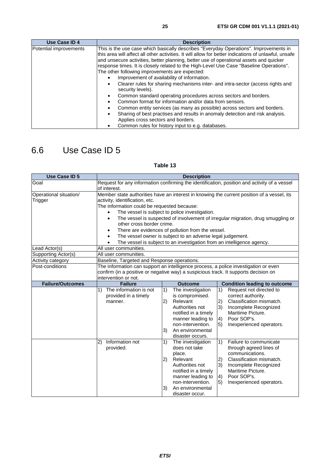<span id="page-24-0"></span>

| Use Case ID 4          | <b>Description</b>                                                                                                                                                                                                                                                                                                                                                                                                                                                                                                                                                                                                                                                                                                                                                                                                                                                                                                |  |  |
|------------------------|-------------------------------------------------------------------------------------------------------------------------------------------------------------------------------------------------------------------------------------------------------------------------------------------------------------------------------------------------------------------------------------------------------------------------------------------------------------------------------------------------------------------------------------------------------------------------------------------------------------------------------------------------------------------------------------------------------------------------------------------------------------------------------------------------------------------------------------------------------------------------------------------------------------------|--|--|
| Potential improvements | This is the use case which basically describes "Everyday Operations". Improvements in<br>this area will affect all other activities. It will allow for better indications of unlawful, unsafe<br>and unsecure activities, better planning, better use of operational assets and quicker<br>response times. It is closely related to the High-Level Use Case "Baseline Operations".<br>The other following improvements are expected:<br>Improvement of availability of information.<br>Clearer rules for sharing mechanisms inter- and intra-sector (access rights and<br>$\bullet$<br>security levels).<br>Common standard operating procedures across sectors and borders.<br>$\bullet$<br>Common format for information and/or data from sensors.<br>Common entity services (as many as possible) across sectors and borders.<br>Sharing of best practises and results in anomaly detection and risk analysis. |  |  |

Applies cross sectors and borders. • Common rules for history input to e.g. databases.

### 6.6 Use Case ID 5

| <b>Use Case ID 5</b>    | <b>Description</b>                                                                           |                                                                        |                                                                                     |  |  |
|-------------------------|----------------------------------------------------------------------------------------------|------------------------------------------------------------------------|-------------------------------------------------------------------------------------|--|--|
| Goal                    | Request for any information confirming the identification, position and activity of a vessel |                                                                        |                                                                                     |  |  |
|                         | of interest.                                                                                 |                                                                        |                                                                                     |  |  |
| Operational situation/  | Member state authorities have an interest in knowing the current position of a vessel, its   |                                                                        |                                                                                     |  |  |
| Trigger                 | activity, identification, etc.                                                               |                                                                        |                                                                                     |  |  |
|                         | The information could be requested because:                                                  |                                                                        |                                                                                     |  |  |
|                         |                                                                                              | The vessel is subject to police investigation.                         |                                                                                     |  |  |
|                         | other cross border crime.                                                                    |                                                                        | The vessel is suspected of involvement of irregular migration, drug smuggling or    |  |  |
|                         |                                                                                              |                                                                        |                                                                                     |  |  |
|                         | ٠                                                                                            | There are evidences of pollution from the vessel.                      |                                                                                     |  |  |
|                         |                                                                                              | The vessel owner is subject to an adverse legal judgement.             |                                                                                     |  |  |
|                         |                                                                                              | The vessel is subject to an investigation from an intelligence agency. |                                                                                     |  |  |
| Lead Actor(s)           | All user communities.                                                                        |                                                                        |                                                                                     |  |  |
| Supporting Actor(s)     | All user communities.                                                                        |                                                                        |                                                                                     |  |  |
| Activity category       | Baseline, Targeted and Response operations.                                                  |                                                                        |                                                                                     |  |  |
| Post-conditions         |                                                                                              |                                                                        | The information can support an intelligence process, a police investigation or even |  |  |
|                         | confirm (in a positive or negative way) a suspicious track. It supports decision on          |                                                                        |                                                                                     |  |  |
| <b>Failure/Outcomes</b> | intervention or not.<br><b>Failure</b>                                                       | <b>Outcome</b>                                                         |                                                                                     |  |  |
|                         |                                                                                              |                                                                        | <b>Condition leading to outcome</b>                                                 |  |  |
|                         | The information is not<br>1)                                                                 | The investigation<br>1)                                                | 1)<br>Request not directed to                                                       |  |  |
|                         | provided in a timely<br>manner.                                                              | is compromised.<br>Relevant<br>2)                                      | correct authority.<br>Classification mismatch.<br>2)                                |  |  |
|                         |                                                                                              | Authorities not                                                        | 3)                                                                                  |  |  |
|                         |                                                                                              | notified in a timely                                                   | Incomplete Recognized<br>Maritime Picture.                                          |  |  |
|                         |                                                                                              | manner leading to                                                      | Poor SOP's.<br>$\vert 4)$                                                           |  |  |
|                         |                                                                                              | non-intervention.                                                      | Inexperienced operators.<br>5)                                                      |  |  |
|                         |                                                                                              | 3)<br>An environmental                                                 |                                                                                     |  |  |
|                         |                                                                                              | disaster occurs.                                                       |                                                                                     |  |  |
|                         | Information not<br>2)                                                                        | The investigation<br>1)                                                | 1)<br>Failure to communicate                                                        |  |  |
|                         | provided.                                                                                    | does not take                                                          | through agreed lines of                                                             |  |  |
|                         |                                                                                              | place.                                                                 | communications.                                                                     |  |  |
|                         |                                                                                              | (2)<br>Relevant                                                        | 2)<br>Classification mismatch.                                                      |  |  |
|                         |                                                                                              | Authorities not                                                        | 3)<br>Incomplete Recognized                                                         |  |  |
|                         |                                                                                              | notified in a timely                                                   | Maritime Picture.                                                                   |  |  |
|                         |                                                                                              | manner leading to                                                      | Poor SOP's.<br>$ 4\rangle$                                                          |  |  |
|                         |                                                                                              | non-intervention.                                                      | $\vert 5 \rangle$<br>Inexperienced operators.                                       |  |  |
|                         |                                                                                              | An environmental<br>3)                                                 |                                                                                     |  |  |
|                         |                                                                                              | disaster occur.                                                        |                                                                                     |  |  |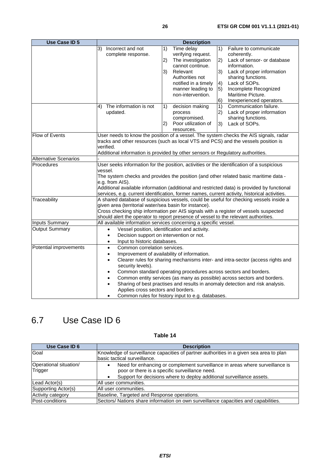<span id="page-25-0"></span>

| <b>Use Case ID 5</b>         | <b>Description</b>                                                                                                             |                                                   |                                                                                               |
|------------------------------|--------------------------------------------------------------------------------------------------------------------------------|---------------------------------------------------|-----------------------------------------------------------------------------------------------|
|                              | Incorrect and not<br>3)                                                                                                        | Time delay<br>1)                                  | 1)<br>Failure to communicate                                                                  |
|                              | complete response.                                                                                                             | verifying request.                                | coherently.                                                                                   |
|                              |                                                                                                                                | The investigation<br>2)                           | Lack of sensor- or database<br>2)                                                             |
|                              |                                                                                                                                | cannot continue.                                  | information.                                                                                  |
|                              |                                                                                                                                | 3)<br>Relevant                                    | 3)<br>Lack of proper information                                                              |
|                              |                                                                                                                                | Authorities not                                   | sharing functions.                                                                            |
|                              |                                                                                                                                | notified in a timely                              | Lack of SOPs.<br>$\left( \frac{4}{2} \right)$                                                 |
|                              |                                                                                                                                | manner leading to                                 | Incomplete Recognized<br>$\vert 5)$                                                           |
|                              |                                                                                                                                | non-intervention.                                 | Maritime Picture.                                                                             |
|                              |                                                                                                                                |                                                   | Inexperienced operators.<br>6)                                                                |
|                              | 4)<br>The information is not                                                                                                   | decision making<br>1)                             | 1)<br>Communication failure.                                                                  |
|                              | updated.                                                                                                                       | process                                           | Lack of proper information<br>$\left( 2\right)$                                               |
|                              |                                                                                                                                | compromised.                                      | sharing functions.                                                                            |
|                              |                                                                                                                                | (2)<br>Poor utilization of                        | Lack of SOPs.<br>3)                                                                           |
|                              |                                                                                                                                | resources.                                        |                                                                                               |
| Flow of Events               |                                                                                                                                |                                                   | User needs to know the position of a vessel. The system checks the AIS signals, radar         |
|                              |                                                                                                                                |                                                   | tracks and other resources (such as local VTS and PCS) and the vessels position is            |
|                              | verified.                                                                                                                      |                                                   |                                                                                               |
|                              | Additional information is provided by other sensors or Regulatory authorities.                                                 |                                                   |                                                                                               |
| <b>Alternative Scenarios</b> |                                                                                                                                |                                                   |                                                                                               |
| Procedures                   |                                                                                                                                |                                                   | User seeks information for the position, activities or the identification of a suspicious     |
|                              | vessel.                                                                                                                        |                                                   | The system checks and provides the position (and other related basic maritime data -          |
|                              | e.g. from AIS).                                                                                                                |                                                   |                                                                                               |
|                              |                                                                                                                                |                                                   | Additional available information (additional and restricted data) is provided by functional   |
|                              |                                                                                                                                |                                                   | services, e.g. current identification, former names, current activity, historical activities. |
| Traceability                 |                                                                                                                                |                                                   | A shared database of suspicious vessels, could be useful for checking vessels inside a        |
|                              | given area (territorial water/sea basin for instance).                                                                         |                                                   |                                                                                               |
|                              |                                                                                                                                |                                                   | Cross checking ship information per AIS signals with a register of vessels suspected          |
|                              | should alert the operator to report presence of vessel to the relevant authorities.                                            |                                                   |                                                                                               |
| <b>Inputs Summary</b>        |                                                                                                                                |                                                   |                                                                                               |
| <b>Output Summary</b>        | All available information services concerning a specific vessel.<br>Vessel position, identification and activity.<br>$\bullet$ |                                                   |                                                                                               |
|                              | Decision support on intervention or not.<br>$\bullet$                                                                          |                                                   |                                                                                               |
|                              | Input to historic databases.<br>$\bullet$                                                                                      |                                                   |                                                                                               |
| Potential improvements       | Common correlation services.<br>$\bullet$                                                                                      |                                                   |                                                                                               |
|                              | $\bullet$                                                                                                                      | Improvement of availability of information.       |                                                                                               |
|                              | $\bullet$                                                                                                                      |                                                   | Clearer rules for sharing mechanisms inter- and intra-sector (access rights and               |
|                              | security levels).                                                                                                              |                                                   |                                                                                               |
|                              | $\bullet$                                                                                                                      |                                                   | Common standard operating procedures across sectors and borders.                              |
|                              | $\bullet$                                                                                                                      |                                                   | Common entity services (as many as possible) across sectors and borders.                      |
|                              | $\bullet$                                                                                                                      |                                                   | Sharing of best practises and results in anomaly detection and risk analysis.                 |
|                              | Applies cross sectors and borders.                                                                                             |                                                   |                                                                                               |
|                              |                                                                                                                                | Common rules for history input to e.g. databases. |                                                                                               |

# 6.7 Use Case ID 6

| Use Case ID 6                     | <b>Description</b>                                                                                                                                                                                                   |  |
|-----------------------------------|----------------------------------------------------------------------------------------------------------------------------------------------------------------------------------------------------------------------|--|
| Goal                              | Knowledge of surveillance capacities of partner authorities in a given sea area to plan<br>Ibasic tactical surveillance.                                                                                             |  |
| Operational situation/<br>Trigger | Need for enhancing or complement surveillance in areas where surveillance is<br>$\bullet$<br>poor or there is a specific surveillance need.<br>Support for decisions where to deploy additional surveillance assets. |  |
| Lead Actor(s)                     | All user communities.                                                                                                                                                                                                |  |
| Supporting Actor(s)               | All user communities.                                                                                                                                                                                                |  |
| <b>Activity category</b>          | Baseline, Targeted and Response operations.                                                                                                                                                                          |  |
| Post-conditions                   | Sectors/ Nations share information on own surveillance capacities and capabilities.                                                                                                                                  |  |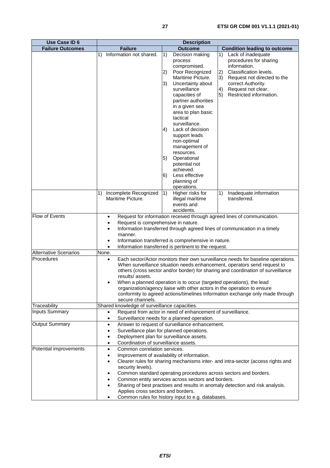| <b>Use Case ID 6</b>         | <b>Description</b>                                                                                                                  |                                                                                                                                                 |                                                                                  |
|------------------------------|-------------------------------------------------------------------------------------------------------------------------------------|-------------------------------------------------------------------------------------------------------------------------------------------------|----------------------------------------------------------------------------------|
| <b>Failure Outcomes</b>      | <b>Failure</b>                                                                                                                      | <b>Outcome</b>                                                                                                                                  | <b>Condition leading to outcome</b>                                              |
|                              | Information not shared.<br>1)                                                                                                       | Decision making<br>1)                                                                                                                           | 1)<br>Lack of inadequate                                                         |
|                              |                                                                                                                                     | process                                                                                                                                         | procedures for sharing                                                           |
|                              |                                                                                                                                     | compromised.                                                                                                                                    | information.                                                                     |
|                              |                                                                                                                                     | Poor Recognized<br>2)                                                                                                                           | 2)<br>Classification levels.                                                     |
|                              |                                                                                                                                     | Maritime Picture.                                                                                                                               | 3)<br>Request not directed to the                                                |
|                              |                                                                                                                                     | 3)<br>Uncertainty about                                                                                                                         | correct Authority.                                                               |
|                              |                                                                                                                                     | surveillance                                                                                                                                    | Request not clear.<br>4)                                                         |
|                              |                                                                                                                                     | capacities of                                                                                                                                   | Restricted information.<br>5)                                                    |
|                              |                                                                                                                                     | partner authorities                                                                                                                             |                                                                                  |
|                              |                                                                                                                                     | in a given sea                                                                                                                                  |                                                                                  |
|                              |                                                                                                                                     | area to plan basic                                                                                                                              |                                                                                  |
|                              |                                                                                                                                     | tactical                                                                                                                                        |                                                                                  |
|                              |                                                                                                                                     | surveillance.                                                                                                                                   |                                                                                  |
|                              |                                                                                                                                     | 4)<br>Lack of decision                                                                                                                          |                                                                                  |
|                              |                                                                                                                                     | support leads                                                                                                                                   |                                                                                  |
|                              |                                                                                                                                     | non-optimal                                                                                                                                     |                                                                                  |
|                              |                                                                                                                                     | management of                                                                                                                                   |                                                                                  |
|                              |                                                                                                                                     | resources.                                                                                                                                      |                                                                                  |
|                              |                                                                                                                                     | 5)<br>Operational                                                                                                                               |                                                                                  |
|                              |                                                                                                                                     | potential not                                                                                                                                   |                                                                                  |
|                              |                                                                                                                                     | achieved.                                                                                                                                       |                                                                                  |
|                              |                                                                                                                                     | Less effective<br>6)                                                                                                                            |                                                                                  |
|                              |                                                                                                                                     | planning of                                                                                                                                     |                                                                                  |
|                              |                                                                                                                                     | operations.                                                                                                                                     |                                                                                  |
|                              | Incomplete Recognized<br>1)                                                                                                         | 1)<br>Higher risks for                                                                                                                          | Inadequate information<br>1)                                                     |
|                              | Maritime Picture.                                                                                                                   | illegal maritime                                                                                                                                | transferred.                                                                     |
|                              |                                                                                                                                     | events and                                                                                                                                      |                                                                                  |
|                              |                                                                                                                                     | accidents.                                                                                                                                      |                                                                                  |
| Flow of Events               | $\bullet$                                                                                                                           |                                                                                                                                                 | Request for information received through agreed lines of communication.          |
|                              | Request is comprehensive in nature.<br>$\bullet$                                                                                    |                                                                                                                                                 |                                                                                  |
|                              | $\bullet$                                                                                                                           |                                                                                                                                                 | Information transferred through agreed lines of communication in a timely        |
|                              | manner.                                                                                                                             |                                                                                                                                                 |                                                                                  |
|                              | Information transferred is comprehensive in nature.<br>٠<br>Information transferred is pertinent to the request.                    |                                                                                                                                                 |                                                                                  |
|                              | $\bullet$                                                                                                                           |                                                                                                                                                 |                                                                                  |
| <b>Alternative Scenarios</b> | None.                                                                                                                               |                                                                                                                                                 |                                                                                  |
| Procedures                   | $\bullet$                                                                                                                           |                                                                                                                                                 | Each sector/Actor monitors their own surveillance needs for baseline operations. |
|                              |                                                                                                                                     |                                                                                                                                                 | When surveillance situation needs enhancement, operators send request to         |
|                              | results/assets.                                                                                                                     |                                                                                                                                                 | others (cross sector and/or border) for sharing and coordination of surveillance |
|                              |                                                                                                                                     |                                                                                                                                                 |                                                                                  |
|                              | $\bullet$                                                                                                                           | When a planned operation is to occur (targeted operations), the lead<br>organization/agency liaise with other actors in the operation to ensure |                                                                                  |
|                              |                                                                                                                                     |                                                                                                                                                 | conformity to agreed actions/timelines Information exchange only made through    |
|                              | secure channels.                                                                                                                    |                                                                                                                                                 |                                                                                  |
| Traceability                 | Shared knowledge of surveillance capacities.                                                                                        |                                                                                                                                                 |                                                                                  |
| <b>Inputs Summary</b>        | $\bullet$                                                                                                                           | Request from actor in need of enhancement of surveillance.                                                                                      |                                                                                  |
|                              | $\bullet$                                                                                                                           | Surveillance needs for a planned operation.                                                                                                     |                                                                                  |
| <b>Output Summary</b>        | $\bullet$                                                                                                                           | Answer to request of surveillance enhancement.                                                                                                  |                                                                                  |
|                              | ٠                                                                                                                                   | Surveillance plan for planned operations.                                                                                                       |                                                                                  |
|                              | $\bullet$                                                                                                                           | Deployment plan for surveillance assets.                                                                                                        |                                                                                  |
|                              | Coordination of surveillance assets.<br>$\bullet$                                                                                   |                                                                                                                                                 |                                                                                  |
| Potential improvements       | Common correlation services.<br>$\bullet$                                                                                           |                                                                                                                                                 |                                                                                  |
|                              |                                                                                                                                     | Improvement of availability of information.                                                                                                     |                                                                                  |
|                              |                                                                                                                                     |                                                                                                                                                 | Clearer rules for sharing mechanisms inter- and intra-sector (access rights and  |
|                              | security levels).                                                                                                                   |                                                                                                                                                 |                                                                                  |
|                              |                                                                                                                                     | Common standard operating procedures across sectors and borders.                                                                                |                                                                                  |
|                              |                                                                                                                                     |                                                                                                                                                 |                                                                                  |
|                              | Common entity services across sectors and borders.<br>Sharing of best practises and results in anomaly detection and risk analysis. |                                                                                                                                                 |                                                                                  |
|                              |                                                                                                                                     |                                                                                                                                                 |                                                                                  |
|                              | Applies cross sectors and borders.                                                                                                  |                                                                                                                                                 |                                                                                  |
|                              |                                                                                                                                     | Common rules for history input to e.g. databases.                                                                                               |                                                                                  |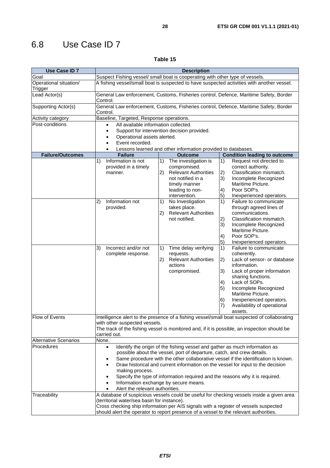# <span id="page-27-0"></span>6.8 Use Case ID 7

| <b>Use Case ID 7</b>              | <b>Description</b>                                                                                                                                                                                                                                                                                                                                                                                                                                                                                                                           |                                                                                                                                                                                     |                                                                                                                                                                                                                                                                                                                         |  |
|-----------------------------------|----------------------------------------------------------------------------------------------------------------------------------------------------------------------------------------------------------------------------------------------------------------------------------------------------------------------------------------------------------------------------------------------------------------------------------------------------------------------------------------------------------------------------------------------|-------------------------------------------------------------------------------------------------------------------------------------------------------------------------------------|-------------------------------------------------------------------------------------------------------------------------------------------------------------------------------------------------------------------------------------------------------------------------------------------------------------------------|--|
| Goal                              | Suspect Fishing vessel/ small boat is cooperating with other type of vessels.                                                                                                                                                                                                                                                                                                                                                                                                                                                                |                                                                                                                                                                                     |                                                                                                                                                                                                                                                                                                                         |  |
| Operational situation/<br>Trigger | A fishing vessel/small boat is suspected to have suspected activities with another vessel.                                                                                                                                                                                                                                                                                                                                                                                                                                                   |                                                                                                                                                                                     |                                                                                                                                                                                                                                                                                                                         |  |
| Lead Actor(s)                     | General Law enforcement, Customs, Fisheries control, Defence, Maritime Safety, Border<br>Control.                                                                                                                                                                                                                                                                                                                                                                                                                                            |                                                                                                                                                                                     |                                                                                                                                                                                                                                                                                                                         |  |
| Supporting Actor(s)               | Control.                                                                                                                                                                                                                                                                                                                                                                                                                                                                                                                                     |                                                                                                                                                                                     | General Law enforcement, Customs, Fisheries control, Defence, Maritime Safety, Border                                                                                                                                                                                                                                   |  |
| <b>Activity category</b>          | Baseline, Targeted, Response operations.                                                                                                                                                                                                                                                                                                                                                                                                                                                                                                     |                                                                                                                                                                                     |                                                                                                                                                                                                                                                                                                                         |  |
| Post-conditions                   | All available information collected.<br>$\bullet$                                                                                                                                                                                                                                                                                                                                                                                                                                                                                            |                                                                                                                                                                                     |                                                                                                                                                                                                                                                                                                                         |  |
|                                   | $\bullet$                                                                                                                                                                                                                                                                                                                                                                                                                                                                                                                                    | Support for intervention decision provided.                                                                                                                                         |                                                                                                                                                                                                                                                                                                                         |  |
|                                   | $\bullet$                                                                                                                                                                                                                                                                                                                                                                                                                                                                                                                                    | Operational assets alerted.                                                                                                                                                         |                                                                                                                                                                                                                                                                                                                         |  |
|                                   | Event recorded.<br>$\bullet$                                                                                                                                                                                                                                                                                                                                                                                                                                                                                                                 |                                                                                                                                                                                     |                                                                                                                                                                                                                                                                                                                         |  |
|                                   | $\bullet$                                                                                                                                                                                                                                                                                                                                                                                                                                                                                                                                    | Lessons learned and other information provided to databases.                                                                                                                        |                                                                                                                                                                                                                                                                                                                         |  |
| <b>Failure/Outcomes</b>           | <b>Failure</b>                                                                                                                                                                                                                                                                                                                                                                                                                                                                                                                               | <b>Outcome</b>                                                                                                                                                                      | <b>Condition leading to outcome</b>                                                                                                                                                                                                                                                                                     |  |
|                                   | Information is not<br>1)<br>provided in a timely<br>manner.<br>Information not                                                                                                                                                                                                                                                                                                                                                                                                                                                               | 1)<br>The investigation is<br>compromised.<br>2)<br><b>Relevant Authorities</b><br>not notified in a<br>timely manner<br>leading to non-<br>intervention.<br>1)<br>No Investigation | 1)<br>Request not directed to<br>correct authority.<br>Classification mismatch.<br> 2)<br>3)<br>Incomplete Recognized<br>Maritime Picture.<br>Poor SOP's.<br>4)<br>5)<br>Inexperienced operators.<br>1)<br>Failure to communicate                                                                                       |  |
|                                   | 2)<br>provided.                                                                                                                                                                                                                                                                                                                                                                                                                                                                                                                              | takes place.<br><b>Relevant Authorities</b><br> 2)<br>not notified.                                                                                                                 | through agreed lines of<br>communications.<br>Classification mismatch.<br>2)<br>3)<br>Incomplete Recognized<br>Maritime Picture.<br>Poor SOP's.<br>4)<br>5)<br>Inexperienced operators.                                                                                                                                 |  |
|                                   | Incorrect and/or not<br>3)<br>complete response.                                                                                                                                                                                                                                                                                                                                                                                                                                                                                             | 1)<br>Time delay verifying<br>requests.<br>2)<br><b>Relevant Authorities</b><br>actions<br>compromised.                                                                             | 1)<br>Failure to communicate<br>coherently.<br>Lack of sensor- or database<br>2)<br>information.<br>Lack of proper information<br>3)<br>sharing functions.<br>Lack of SOPs.<br>4)<br>Incomplete Recognized<br>5)<br>Maritime Picture.<br>Inexperienced operators.<br>6)<br>7)<br>Availability of operational<br>assets. |  |
| Flow of Events                    | Intelligence alert to the presence of a fishing vessel/small boat suspected of collaborating<br>with other suspected vessels.<br>The track of the fishing vessel is monitored and, if it is possible, an inspection should be<br>carried out.                                                                                                                                                                                                                                                                                                |                                                                                                                                                                                     |                                                                                                                                                                                                                                                                                                                         |  |
| <b>Alternative Scenarios</b>      | None.                                                                                                                                                                                                                                                                                                                                                                                                                                                                                                                                        |                                                                                                                                                                                     |                                                                                                                                                                                                                                                                                                                         |  |
| Procedures                        | Identify the origin of the fishing vessel and gather as much information as<br>$\bullet$<br>possible about the vessel, port of departure, catch, and crew details.<br>Same procedure with the other collaborative vessel if the identification is known.<br>٠<br>Draw historical and current information on the vessel for input to the decision<br>$\bullet$<br>making process.<br>Specify the type of information required and the reasons why it is required.<br>Information exchange by secure means.<br>Alert the relevant authorities. |                                                                                                                                                                                     |                                                                                                                                                                                                                                                                                                                         |  |
| Traceability                      | A database of suspicious vessels could be useful for checking vessels inside a given area<br>(territorial water/sea basin for instance).<br>Cross checking ship information per AIS signals with a register of vessels suspected<br>should alert the operator to report presence of a vessel to the relevant authorities.                                                                                                                                                                                                                    |                                                                                                                                                                                     |                                                                                                                                                                                                                                                                                                                         |  |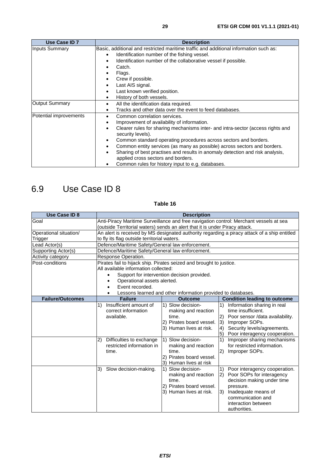<span id="page-28-0"></span>

| Use Case ID 7          | <b>Description</b>                                                                                                |  |  |
|------------------------|-------------------------------------------------------------------------------------------------------------------|--|--|
| Inputs Summary         | Basic, additional and restricted maritime traffic and additional information such as:                             |  |  |
|                        | Identification number of the fishing vessel.<br>$\bullet$                                                         |  |  |
|                        | Identification number of the collaborative vessel if possible.<br>$\bullet$                                       |  |  |
|                        | Catch.<br>٠                                                                                                       |  |  |
|                        | Flags.                                                                                                            |  |  |
|                        | Crew if possible.<br>٠                                                                                            |  |  |
|                        | Last AIS signal.<br>$\bullet$                                                                                     |  |  |
|                        | Last known verified position.<br>$\bullet$                                                                        |  |  |
|                        | History of both vessels.<br>$\bullet$                                                                             |  |  |
| <b>Output Summary</b>  | All the identification data required.<br>$\bullet$                                                                |  |  |
|                        | Tracks and other data over the event to feed databases.<br>$\bullet$                                              |  |  |
| Potential improvements | Common correlation services.<br>$\bullet$                                                                         |  |  |
|                        | Improvement of availability of information.<br>$\bullet$                                                          |  |  |
|                        | Clearer rules for sharing mechanisms inter- and intra-sector (access rights and<br>$\bullet$<br>security levels). |  |  |
|                        | Common standard operating procedures across sectors and borders.<br>$\bullet$                                     |  |  |
|                        | Common entity services (as many as possible) across sectors and borders.<br>$\bullet$                             |  |  |
|                        | Sharing of best practises and results in anomaly detection and risk analysis,                                     |  |  |
|                        | applied cross sectors and borders.                                                                                |  |  |
|                        | Common rules for history input to e.g. databases.                                                                 |  |  |

# 6.9 Use Case ID 8

| <b>Use Case ID 8</b>    | <b>Description</b>                                                                                                            |                                                                                                                                                      |                                                                                                                                                                                                                                                                                                                                                     |
|-------------------------|-------------------------------------------------------------------------------------------------------------------------------|------------------------------------------------------------------------------------------------------------------------------------------------------|-----------------------------------------------------------------------------------------------------------------------------------------------------------------------------------------------------------------------------------------------------------------------------------------------------------------------------------------------------|
| Goal                    | Anti-Piracy Maritime Surveillance and free navigation control: Merchant vessels at sea                                        |                                                                                                                                                      |                                                                                                                                                                                                                                                                                                                                                     |
|                         | (outside Territorial waters) sends an alert that it is under Piracy attack.                                                   |                                                                                                                                                      |                                                                                                                                                                                                                                                                                                                                                     |
| Operational situation/  |                                                                                                                               |                                                                                                                                                      | An alert is received by MS designated authority regarding a piracy attack of a ship entitled                                                                                                                                                                                                                                                        |
| Trigger                 | to fly its flag outside territorial waters.                                                                                   |                                                                                                                                                      |                                                                                                                                                                                                                                                                                                                                                     |
| Lead Actor(s)           | Defence/Maritime Safety/General law enforcement.                                                                              |                                                                                                                                                      |                                                                                                                                                                                                                                                                                                                                                     |
| Supporting Actor(s)     | Defence/Maritime Safety/General law enforcement.                                                                              |                                                                                                                                                      |                                                                                                                                                                                                                                                                                                                                                     |
| Activity category       | Response Operation.                                                                                                           |                                                                                                                                                      |                                                                                                                                                                                                                                                                                                                                                     |
| Post-conditions         | Pirates fail to hijack ship. Pirates seized and brought to justice.                                                           |                                                                                                                                                      |                                                                                                                                                                                                                                                                                                                                                     |
|                         | All available information collected:                                                                                          |                                                                                                                                                      |                                                                                                                                                                                                                                                                                                                                                     |
|                         | $\bullet$                                                                                                                     | Support for intervention decision provided.                                                                                                          |                                                                                                                                                                                                                                                                                                                                                     |
|                         | Operational assets alerted.<br>٠                                                                                              |                                                                                                                                                      |                                                                                                                                                                                                                                                                                                                                                     |
|                         | Event recorded.                                                                                                               |                                                                                                                                                      |                                                                                                                                                                                                                                                                                                                                                     |
|                         |                                                                                                                               | Lessons learned and other information provided to databases.                                                                                         |                                                                                                                                                                                                                                                                                                                                                     |
| <b>Failure/Outcomes</b> | <b>Failure</b>                                                                                                                | <b>Outcome</b>                                                                                                                                       | <b>Condition leading to outcome</b>                                                                                                                                                                                                                                                                                                                 |
|                         | Insufficient amount of<br>1)<br>correct information<br>available.<br>2) Difficulties to exchange<br>restricted information in | 1) Slow decision-<br>making and reaction<br>time.<br>2) Pirates board vessel.<br>3) Human lives at risk.<br>1) Slow decision-<br>making and reaction | Information sharing in real<br>$\left( \begin{matrix} 1 \end{matrix} \right)$<br>time insufficient.<br>(2)<br>Poor sensor /data availability.<br>3)<br>Improper SOPs.<br>Security levels/agreements.<br>$\vert 4 \rangle$<br>$\vert 5 \rangle$<br>Poor interagency cooperation.<br>1)<br>Improper sharing mechanisms<br>for restricted information. |
|                         | time.<br>3)<br>Slow decision-making.                                                                                          | time.<br>2) Pirates board vessel.<br>3) Human lives at risk<br>1) Slow decision-                                                                     | 2)<br>Improper SOPs.<br>Poor interagency cooperation.<br>1)                                                                                                                                                                                                                                                                                         |
|                         |                                                                                                                               | making and reaction<br>time.<br>2) Pirates board vessel.<br>3) Human lives at risk.                                                                  | Poor SOPs for interagency<br> 2)<br>decision making under time<br>pressure.<br>3)<br>Inadequate means of<br>communication and<br>interaction between<br>authorities.                                                                                                                                                                                |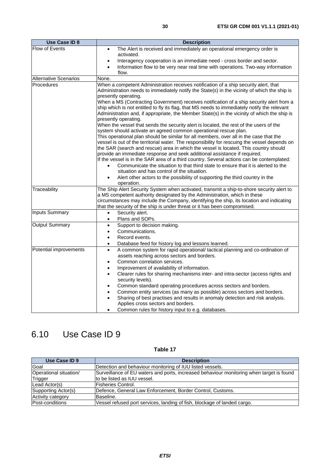<span id="page-29-0"></span>

| <b>Use Case ID 8</b>                            | <b>Description</b>                                                                                                                                                                                                                                                                                                                                                                                                                                                                                                                                                                                                                                                                                                                                                                                                                                                                                                                                                                                                                                                                                                                                                                                                                                                                                                                                                                            |
|-------------------------------------------------|-----------------------------------------------------------------------------------------------------------------------------------------------------------------------------------------------------------------------------------------------------------------------------------------------------------------------------------------------------------------------------------------------------------------------------------------------------------------------------------------------------------------------------------------------------------------------------------------------------------------------------------------------------------------------------------------------------------------------------------------------------------------------------------------------------------------------------------------------------------------------------------------------------------------------------------------------------------------------------------------------------------------------------------------------------------------------------------------------------------------------------------------------------------------------------------------------------------------------------------------------------------------------------------------------------------------------------------------------------------------------------------------------|
| Flow of Events                                  | The Alert is received and immediately an operational emergency order is<br>$\bullet$<br>activated.<br>Interagency cooperation is an immediate need - cross border and sector.<br>$\bullet$<br>Information flow to be very near real time with operations. Two-way information<br>$\bullet$<br>flow.                                                                                                                                                                                                                                                                                                                                                                                                                                                                                                                                                                                                                                                                                                                                                                                                                                                                                                                                                                                                                                                                                           |
| <b>Alternative Scenarios</b>                    | None.                                                                                                                                                                                                                                                                                                                                                                                                                                                                                                                                                                                                                                                                                                                                                                                                                                                                                                                                                                                                                                                                                                                                                                                                                                                                                                                                                                                         |
| <b>Procedures</b>                               | When a competent Administration receives notification of a ship security alert, that<br>Administration needs to immediately notify the State(s) in the vicinity of which the ship is<br>presently operating.<br>When a MS (Contracting Government) receives notification of a ship security alert from a<br>ship which is not entitled to fly its flag, that MS needs to immediately notify the relevant<br>Administration and, if appropriate, the Member State(s) in the vicinity of which the ship is<br>presently operating.<br>When the vessel that sends the security alert is located, the rest of the users of the<br>system should activate an agreed common operational rescue plan.<br>This operational plan should be similar for all members, over all in the case that the<br>vessel is out of the territorial water. The responsibility for rescuing the vessel depends on<br>the SAR (search and rescue) area in which the vessel is located. This country should<br>provide an immediate response and seek additional assistance if required.<br>If the vessel is in the SAR area of a third country. Several actions can be contemplated:<br>Communicate the situation to that third state to ensure that it is alerted to the<br>situation and has control of the situation.<br>Alert other actors to the possibility of supporting the third country in the<br>operation. |
| Traceability                                    | The Ship Alert Security System when activated, transmit a ship-to-shore security alert to<br>a MS competent authority designated by the Administration, which in these<br>circumstances may include the Company, identifying the ship, its location and indicating<br>that the security of the ship is under threat or it has been compromised.                                                                                                                                                                                                                                                                                                                                                                                                                                                                                                                                                                                                                                                                                                                                                                                                                                                                                                                                                                                                                                               |
| <b>Inputs Summary</b>                           | Security alert.<br>$\bullet$<br>Plans and SOPs.                                                                                                                                                                                                                                                                                                                                                                                                                                                                                                                                                                                                                                                                                                                                                                                                                                                                                                                                                                                                                                                                                                                                                                                                                                                                                                                                               |
| <b>Output Summary</b><br>Potential improvements | Support to decision making.<br>$\bullet$<br>Communications.<br>$\bullet$<br>Record events.<br>$\bullet$<br>Database feed for history log and lessons learned.<br>$\bullet$<br>A common system for rapid operational/ tactical planning and co-ordination of<br>$\bullet$                                                                                                                                                                                                                                                                                                                                                                                                                                                                                                                                                                                                                                                                                                                                                                                                                                                                                                                                                                                                                                                                                                                      |
|                                                 |                                                                                                                                                                                                                                                                                                                                                                                                                                                                                                                                                                                                                                                                                                                                                                                                                                                                                                                                                                                                                                                                                                                                                                                                                                                                                                                                                                                               |

|  | A common system for rapid operational/ tactical planning and co-ordination of |
|--|-------------------------------------------------------------------------------|
|  | assets reaching across sectors and borders.                                   |
|  | Common correlation services.                                                  |
|  | Improvement of ovailability of information                                    |

| Improvement of availability of information.                                     |
|---------------------------------------------------------------------------------|
| Clearer rules for sharing mechanisms inter- and intra-sector (access rights and |
| security levels).                                                               |

| Common standard operating procedures across sectors and borders. |
|------------------------------------------------------------------|

- Common entity services (as many as possible) across sectors and borders.
- Sharing of best practises and results in anomaly detection and risk analysis.
- Applies cross sectors and borders.
	- Common rules for history input to e.g. databases.

# 6.10 Use Case ID 9

| Use Case ID 9          | <b>Description</b>                                                                       |  |
|------------------------|------------------------------------------------------------------------------------------|--|
| Goal                   | Detection and behaviour monitoring of IUU listed vessels.                                |  |
| Operational situation/ | Surveillance of EU waters and ports, increased behaviour monitoring when target is found |  |
| Trigger                | Ito be listed as IUU vessel.                                                             |  |
| Lead Actor(s)          | lFisheries Control.                                                                      |  |
| Supporting Actor(s)    | Defence, General Law Enforcement, Border Control, Customs.                               |  |
| Activity category      | Baseline.                                                                                |  |
| Post-conditions        | Vessel refused port services, landing of fish, blockage of landed cargo.                 |  |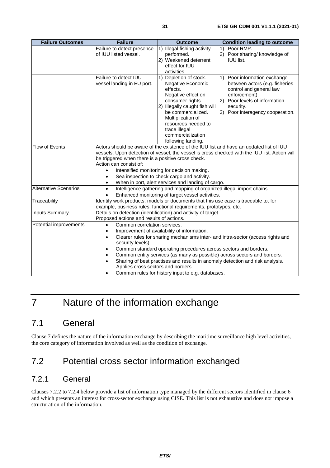<span id="page-30-0"></span>

| <b>Failure Outcomes</b>      | <b>Failure</b>                                                                                                                                                                                                                                                                                                                                                                                                                                                                                                                                                                   | <b>Outcome</b>                                                                                                                                                                                                                                                   | <b>Condition leading to outcome</b>                                                                                                                                                          |
|------------------------------|----------------------------------------------------------------------------------------------------------------------------------------------------------------------------------------------------------------------------------------------------------------------------------------------------------------------------------------------------------------------------------------------------------------------------------------------------------------------------------------------------------------------------------------------------------------------------------|------------------------------------------------------------------------------------------------------------------------------------------------------------------------------------------------------------------------------------------------------------------|----------------------------------------------------------------------------------------------------------------------------------------------------------------------------------------------|
|                              | Failure to detect presence<br>of IUU listed vessel.                                                                                                                                                                                                                                                                                                                                                                                                                                                                                                                              | 1) Illegal fishing activity<br>performed.<br>2) Weakened deterrent<br>effect for IUU<br>activities.                                                                                                                                                              | 1) Poor RMP.<br>2) Poor sharing/ knowledge of<br><b>IUU list.</b>                                                                                                                            |
|                              | Failure to detect IUU<br>vessel landing in EU port.                                                                                                                                                                                                                                                                                                                                                                                                                                                                                                                              | 1) Depletion of stock.<br>Negative Economic<br>effects.<br>Negative effect on<br>consumer rights.<br>2) Illegally caught fish will<br>be commercialized.<br>Multiplication of<br>resources needed to<br>trace illegal<br>commercialization<br>following landing. | 1) Poor information exchange<br>between actors (e.g. fisheries<br>control and general law<br>enforcement).<br>2) Poor levels of information<br>security.<br>3) Poor interagency cooperation. |
| <b>Flow of Events</b>        | Actors should be aware of the existence of the IUU list and have an updated list of IUU<br>vessels. Upon detection of vessel, the vessel is cross checked with the IUU list. Action will<br>be triggered when there is a positive cross check.<br>Action can consist of:<br>Intensified monitoring for decision making.<br>$\bullet$<br>Sea inspection to check cargo and activity.<br>$\bullet$<br>When in port, alert services and landing of cargo.<br>$\bullet$                                                                                                              |                                                                                                                                                                                                                                                                  |                                                                                                                                                                                              |
| <b>Alternative Scenarios</b> | Intelligence gathering and mapping of organized illegal import chains.<br>$\bullet$<br>Enhanced monitoring of target vessel activities.<br>$\bullet$                                                                                                                                                                                                                                                                                                                                                                                                                             |                                                                                                                                                                                                                                                                  |                                                                                                                                                                                              |
| Traceability                 | Identify work products, models or documents that this use case is traceable to, for<br>example, business rules, functional requirements, prototypes, etc.                                                                                                                                                                                                                                                                                                                                                                                                                        |                                                                                                                                                                                                                                                                  |                                                                                                                                                                                              |
| <b>Inputs Summary</b>        | Details on detection (identification) and activity of target.<br>Proposed actions and results of actions.                                                                                                                                                                                                                                                                                                                                                                                                                                                                        |                                                                                                                                                                                                                                                                  |                                                                                                                                                                                              |
| Potential improvements       | Common correlation services.<br>$\bullet$<br>Improvement of availability of information.<br>$\bullet$<br>Clearer rules for sharing mechanisms inter- and intra-sector (access rights and<br>$\bullet$<br>security levels).<br>Common standard operating procedures across sectors and borders.<br>$\bullet$<br>Common entity services (as many as possible) across sectors and borders.<br>Sharing of best practises and results in anomaly detection and risk analysis.<br>$\bullet$<br>Applies cross sectors and borders.<br>Common rules for history input to e.g. databases. |                                                                                                                                                                                                                                                                  |                                                                                                                                                                                              |

# 7 Nature of the information exchange

### 7.1 General

Clause 7 defines the nature of the information exchange by describing the maritime surveillance high level activities, the core category of information involved as well as the condition of exchange.

### 7.2 Potential cross sector information exchanged

#### 7.2.1 General

Clauses 7.2.2 to 7.2.4 below provide a list of information type managed by the different sectors identified in clause 6 and which presents an interest for cross-sector exchange using CISE. This list is not exhaustive and does not impose a structuration of the information.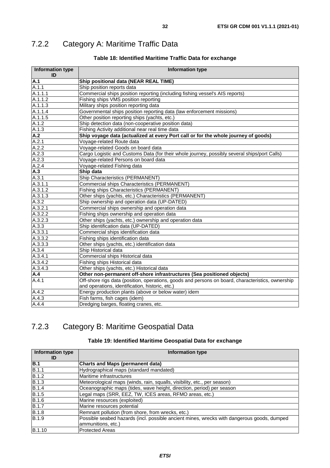# <span id="page-31-0"></span>7.2.2 Category A: Maritime Traffic Data

#### **Table 18: Identified Maritime Traffic Data for exchange**

| <b>Information type</b><br>ID | <b>Information type</b>                                                                           |  |  |
|-------------------------------|---------------------------------------------------------------------------------------------------|--|--|
| A.1                           | Ship positional data (NEAR REAL TIME)                                                             |  |  |
| A.1.1                         | Ship position reports data                                                                        |  |  |
| A.1.1.1                       | Commercial ships position reporting (including fishing vessel's AIS reports)                      |  |  |
| A.1.1.2                       | Fishing ships VMS position reporting                                                              |  |  |
| A.1.1.3                       | Military ships position reporting data                                                            |  |  |
| A.1.1.4                       | Governmental ships position reporting data (law enforcement missions)                             |  |  |
| A.1.1.5                       | Other position reporting ships (yachts, etc.)                                                     |  |  |
| A.1.2                         | Ship detection data (non-cooperative position data)                                               |  |  |
| A.1.3                         | Fishing Activity additional near real time data                                                   |  |  |
| A.2                           | Ship voyage data (actualized at every Port call or for the whole journey of goods)                |  |  |
| A.2.1                         | Voyage-related Route data                                                                         |  |  |
| A.2.2                         | Voyage-related Goods on board data                                                                |  |  |
| A.2.3                         | Cargo Logistic and Customs Data (for their whole journey, possibly several ships/port Calls)      |  |  |
| A.2.3                         | Voyage-related Persons on board data                                                              |  |  |
| A.2.4                         | Voyage-related Fishing data                                                                       |  |  |
| A.3                           | Ship data                                                                                         |  |  |
| A.3.1                         | Ship Characteristics (PERMANENT)                                                                  |  |  |
| A.3.1.1                       | Commercial ships Characteristics (PERMANENT)                                                      |  |  |
| A.3.1.2                       | Fishing ships Characteristics (PERMANENT)                                                         |  |  |
| A.3.1.3                       | Other ships (yachts, etc.) Characteristics (PERMANENT)                                            |  |  |
| A.3.2                         | Ship ownership and operation data (UP-DATED)                                                      |  |  |
| A.3.2.1                       | Commercial ships ownership and operation data                                                     |  |  |
| A.3.2.2                       | Fishing ships ownership and operation data                                                        |  |  |
| A.3.2.3                       | Other ships (yachts, etc.) ownership and operation data                                           |  |  |
| A.3.3                         | Ship identification data (UP-DATED)                                                               |  |  |
| A.3.3.1                       | Commercial ships identification data                                                              |  |  |
| A.3.3.2                       | Fishing ships identification data                                                                 |  |  |
| A.3.3.3                       | Other ships (yachts, etc.) identification data                                                    |  |  |
| A.3.4                         | Ship Historical data                                                                              |  |  |
| A.3.4.1                       | Commercial ships Historical data                                                                  |  |  |
| A.3.4.2                       | Fishing ships Historical data                                                                     |  |  |
| A.3.4.3                       | Other ships (yachts, etc.) Historical data                                                        |  |  |
| A.4                           | Other non-permanent off-shore infrastructures (Sea positioned objects)                            |  |  |
| A.4.1                         | Off-shore rigs data (position, operations, goods and persons on board, characteristics, ownership |  |  |
|                               | and operations, identification, historic, etc.)                                                   |  |  |
| A.4.2                         | Energy production plants (above or below water) idem                                              |  |  |
| A.4.3                         | Fish farms, fish cages (idem)                                                                     |  |  |
| A.4.4                         | Dredging barges, floating cranes, etc.                                                            |  |  |

### 7.2.3 Category B: Maritime Geospatial Data

#### **Table 19: Identified Maritime Geospatial Data for exchange**

| <b>Information type</b><br>ID | Information type                                                                           |  |
|-------------------------------|--------------------------------------------------------------------------------------------|--|
| B.1                           | <b>Charts and Maps (permanent data)</b>                                                    |  |
| <b>B.1.1</b>                  | Hydrographical maps (standard mandated)                                                    |  |
| B.1.2                         | Maritime infrastructures                                                                   |  |
| B.1.3                         | Meteorological maps (winds, rain, squalls, visibility, etc., per season)                   |  |
| B.1.4                         | Oceanographic maps (tides, wave height, direction, period) per season                      |  |
| <b>B.1.5</b>                  | Legal maps (SRR, EEZ, TW, ICES areas, RFMO areas, etc.)                                    |  |
| <b>B.1.6</b>                  | Marine resources (exploited)                                                               |  |
| B.1.7                         | Marine resources potential                                                                 |  |
| B.1.8                         | Remnant pollution (from shore, from wrecks, etc.)                                          |  |
| B.1.9                         | Possible seabed hazards (incl. possible ancient mines, wrecks with dangerous goods, dumped |  |
|                               | ammunitions, etc.)                                                                         |  |
| <b>B.1.10</b>                 | <b>Protected Areas</b>                                                                     |  |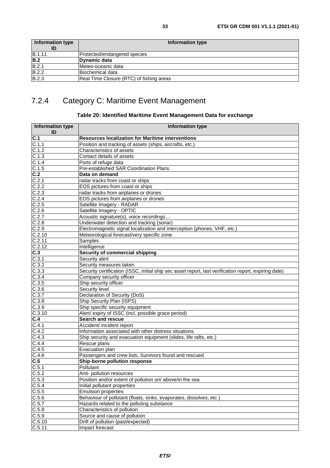### <span id="page-32-0"></span>7.2.4 Category C: Maritime Event Management

#### **Table 20: Identified Maritime Event Management Data for exchange**

| <b>Information type</b><br>ID | <b>Information type</b>                                                                               |  |  |
|-------------------------------|-------------------------------------------------------------------------------------------------------|--|--|
| $\overline{C.1}$              | <b>Resources localization for Maritime interventions</b>                                              |  |  |
| C.1.1                         | Position and tracking of assets (ships, aircrafts, etc.)                                              |  |  |
| C.1.2                         | Characteristics of assets                                                                             |  |  |
| $C.1.\overline{3}$            | Contact details of assets                                                                             |  |  |
| C.1.4                         | Ports of refuge data                                                                                  |  |  |
| C.1.5                         | Pre-established SAR Coordination Plans                                                                |  |  |
| C.2                           | Data on demand                                                                                        |  |  |
| C.2.1                         | radar tracks from coast or ships                                                                      |  |  |
| C.2.2                         | EOS pictures from coast or ships                                                                      |  |  |
| C.2.3                         | radar tracks from airplanes or drones                                                                 |  |  |
| C.2.4                         | EOS pictures from airplanes or drones                                                                 |  |  |
| C.2.5                         | Satellite Imagery - RADAR                                                                             |  |  |
| C.2.6                         | Satellite Imagery - OPTIC                                                                             |  |  |
| C.2.7                         | Acoustic signature(s), voice recordings                                                               |  |  |
| C.2.8                         | Underwater detection and tracking (sonar)                                                             |  |  |
| C.2.9                         | Electromagnetic signal localization and interception (phones, VHF, etc.)                              |  |  |
| C.2.10                        | Meteorological forecast/very specific zone                                                            |  |  |
| C.2.11                        | Samples                                                                                               |  |  |
| C.2.12                        | Intelligence                                                                                          |  |  |
| $\overline{C.3}$              | Security of commercial shipping                                                                       |  |  |
| C.3.1                         | Security alert                                                                                        |  |  |
| C.3.2                         | Security measures taken                                                                               |  |  |
| C.3.3                         | Security certification (ISSC, initial ship sec asset report, last verification report, expiring date) |  |  |
| C.3.4                         | Company security officer                                                                              |  |  |
| C.3.5                         | Ship security officer                                                                                 |  |  |
| C.3.6                         | Security level                                                                                        |  |  |
| C.3.7                         | Declaration of Security (DoS)                                                                         |  |  |
| C.3.8                         | Ship Security Plan (ISPS)                                                                             |  |  |
| C.3.9                         | Ship specific security equipment                                                                      |  |  |
| C.3.10                        | Alert/ expiry of ISSC (incl. possible grace period)                                                   |  |  |
| C.4                           | <b>Search and rescue</b>                                                                              |  |  |
| C.4.1                         | Accident/ incident report                                                                             |  |  |
| C.4.2                         | Information associated with other distress situations                                                 |  |  |
| C.4.3                         | Ship security and evacuation equipment (slides, life rafts, etc.)                                     |  |  |
| C.4.4                         | Rescue plans                                                                                          |  |  |
| C.4.5                         | Evacuation plan                                                                                       |  |  |
| C.4.6                         | Passengers and crew lists, Survivors found and rescued                                                |  |  |
| C.5                           | Ship-borne pollution response                                                                         |  |  |
| C.5.1                         | Pollutant                                                                                             |  |  |
| C.5.2                         | Anti- pollution resources                                                                             |  |  |
| $\overline{C.5.3}$            | Position and/or extent of pollution on/ above/in the sea                                              |  |  |
| C.5.4                         | Initial pollutant properties                                                                          |  |  |
| C.5.5                         | <b>Emulsion properties</b>                                                                            |  |  |
| C.5.6                         | Behaviour of pollutant (floats, sinks, evaporates, dissolves, etc.)                                   |  |  |
| C.5.7                         | Hazards related to the polluting substance                                                            |  |  |
| C.5.8                         | Characteristics of pollution                                                                          |  |  |
| C.5.9                         | Source and cause of pollution                                                                         |  |  |
| C.5.10                        | Drift of pollution (past/expected)                                                                    |  |  |
| C.5.11                        | Impact forecast                                                                                       |  |  |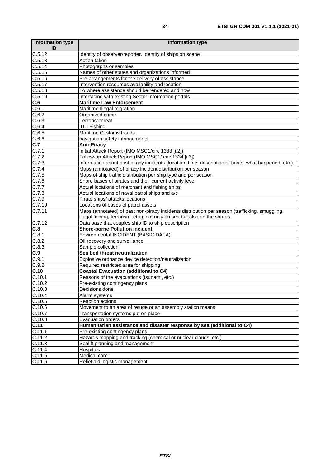| <b>Information type</b><br>ID | <b>Information type</b>                                                                                                                                                     |  |  |
|-------------------------------|-----------------------------------------------------------------------------------------------------------------------------------------------------------------------------|--|--|
| C.5.12                        | Identity of observer/reporter. Identity of ships on scene                                                                                                                   |  |  |
| C.5.13                        | Action taken                                                                                                                                                                |  |  |
| C.5.14                        | Photographs or samples                                                                                                                                                      |  |  |
| C.5.15                        | Names of other states and organizations informed                                                                                                                            |  |  |
| C.5.16                        | Pre-arrangements for the delivery of assistance                                                                                                                             |  |  |
| C.5.17                        | Intervention resources availability and location                                                                                                                            |  |  |
| C.5.18                        | To where assistance should be rendered and how                                                                                                                              |  |  |
| C.5.19                        | Interfacing with existing Sector Information portals                                                                                                                        |  |  |
| C.6                           | <b>Maritime Law Enforcement</b>                                                                                                                                             |  |  |
| C.6.1                         | Maritime Illegal migration                                                                                                                                                  |  |  |
| $\overline{C.6.2}$            | Organized crime                                                                                                                                                             |  |  |
| C.6.3                         | <b>Terrorist threat</b>                                                                                                                                                     |  |  |
| C.6.4                         | <b>IUU Fishing</b>                                                                                                                                                          |  |  |
| C.6.5                         | Maritime Customs frauds                                                                                                                                                     |  |  |
| C.6.6                         | navigation safety infringements                                                                                                                                             |  |  |
| C.7                           | <b>Anti-Piracy</b>                                                                                                                                                          |  |  |
| C.7.1                         | Initial Attack Report (IMO MSC1/circ 1333 [i.2])                                                                                                                            |  |  |
| C.7.2                         | Follow-up Attack Report (IMO MSC1/ circ 1334 [i.3])                                                                                                                         |  |  |
| C.7.3                         | Information about past piracy incidents (location, time, description of boats, what happened, etc.)                                                                         |  |  |
| C.7.4                         | Maps (annotated) of piracy incident distribution per season                                                                                                                 |  |  |
| C.7.5                         | Maps of ship traffic distribution per ship type and per season                                                                                                              |  |  |
| C.7.6                         | Shore bases of pirates and their current activity level                                                                                                                     |  |  |
| C.7.7                         | Actual locations of merchant and fishing ships                                                                                                                              |  |  |
| C.7.8                         | Actual locations of naval patrol ships and a/c                                                                                                                              |  |  |
| C.7.9                         | Pirate ships/ attacks locations                                                                                                                                             |  |  |
| C.7.10                        | Locations of bases of patrol assets                                                                                                                                         |  |  |
| C.7.11                        | Maps (annotated) of past non-piracy incidents distribution per season (trafficking, smuggling,<br>illegal fishing, terrorism, etc.), not only on sea but also on the shores |  |  |
| C.7.12                        | Data base that couples ship ID to ship description                                                                                                                          |  |  |
| C.8                           | <b>Shore-borne Pollution incident</b>                                                                                                                                       |  |  |
| C.8.1                         | Environmental INCIDENT (BASIC DATA)                                                                                                                                         |  |  |
| C.8.2                         | Oil recovery and surveillance                                                                                                                                               |  |  |
| C.8.3                         | Sample collection                                                                                                                                                           |  |  |
| C.9                           | Sea bed threat neutralization                                                                                                                                               |  |  |
| C.9.1                         | Explosive ordnance device detection/neutralization                                                                                                                          |  |  |
| C.9.2                         | Required restricted area for shipping                                                                                                                                       |  |  |
| C.10                          | <b>Coastal Evacuation (additional to C4)</b>                                                                                                                                |  |  |
| C.10.1                        | Reasons of the evacuations (tsunami, etc.)                                                                                                                                  |  |  |
| C.10.2                        | Pre-existing contingency plans                                                                                                                                              |  |  |
| C.10.3                        | Decisions done                                                                                                                                                              |  |  |
| C.10.4                        | Alarm systems                                                                                                                                                               |  |  |
| C.10.5                        | Reaction actions                                                                                                                                                            |  |  |
| C.10.6                        | Movement to an area of refuge or an assembly station means                                                                                                                  |  |  |
| C.10.7                        | Transportation systems put on place                                                                                                                                         |  |  |
| C.10.8                        | <b>Evacuation orders</b>                                                                                                                                                    |  |  |
| C.11                          | Humanitarian assistance and disaster response by sea (additional to C4)                                                                                                     |  |  |
| C.11.1                        | Pre-existing contingency plans                                                                                                                                              |  |  |
| C.11.2                        | Hazards mapping and tracking (chemical or nuclear clouds, etc.)                                                                                                             |  |  |
| C.11.3                        | Sealift planning and management                                                                                                                                             |  |  |
| $C.11.\overline{4}$           | Hospitals                                                                                                                                                                   |  |  |
| C.11.5                        | Medical care                                                                                                                                                                |  |  |
| C.11.6                        | Relief aid logistic management                                                                                                                                              |  |  |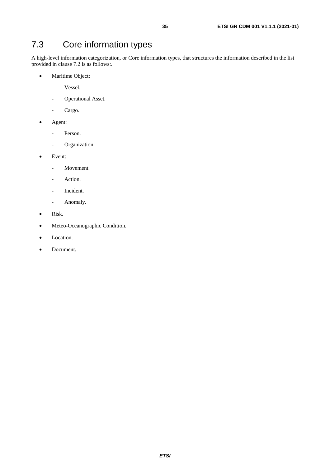### <span id="page-34-0"></span>7.3 Core information types

A high-level information categorization, or Core information types, that structures the information described in the list provided in clause 7.2 is as follows:.

- Maritime Object:
	- Vessel.
	- Operational Asset.
	- Cargo.
- Agent:
	- Person.
	- Organization.
- Event:
	- Movement.
	- Action.
	- Incident.
	- Anomaly.
- Risk.
- Meteo-Oceanographic Condition.
- Location.
- Document.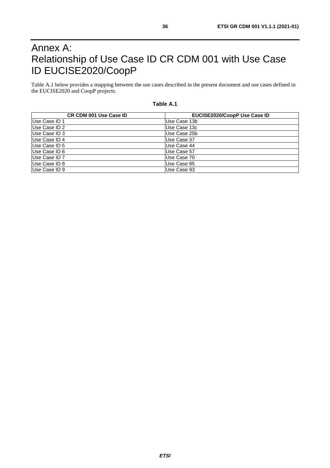# <span id="page-35-0"></span>Annex A: Relationship of Use Case ID CR CDM 001 with Use Case ID EUCISE2020/CoopP

Table A.1 below provides a mapping between the use cases described in the present document and use cases defined in the EUCISE2020 and CoopP projects.

| <b>CR CDM 001 Use Case ID</b> | EUCISE2020/CoopP Use Case ID |
|-------------------------------|------------------------------|
| Use Case ID 1                 | Use Case 13b                 |
| Use Case ID 2                 | Use Case 13c                 |
| Use Case ID 3                 | Use Case 25b                 |
| Use Case ID 4                 | Use Case 37                  |
| Use Case ID 5                 | Use Case 44                  |
| Use Case ID 6                 | Use Case 57                  |
| Use Case ID 7                 | Use Case 70                  |
| Use Case ID 8                 | Use Case 85                  |
| Use Case ID 9                 | Use Case 93                  |

#### **Table A.1**